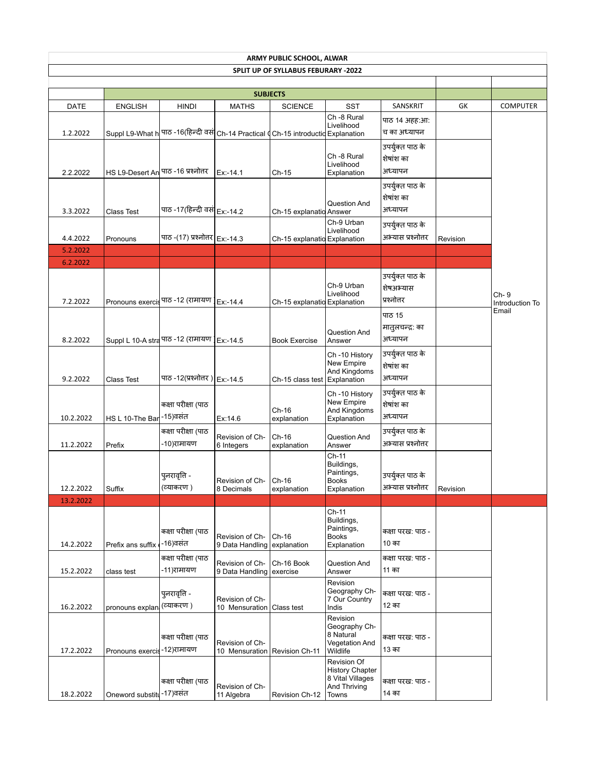| <b>ARMY PUBLIC SCHOOL, ALWAR</b> |                                     |                                                                                   |                                    |                                     |                                                                                    |                                              |          |                          |  |  |
|----------------------------------|-------------------------------------|-----------------------------------------------------------------------------------|------------------------------------|-------------------------------------|------------------------------------------------------------------------------------|----------------------------------------------|----------|--------------------------|--|--|
|                                  |                                     |                                                                                   |                                    | SPLIT UP OF SYLLABUS FEBURARY -2022 |                                                                                    |                                              |          |                          |  |  |
|                                  |                                     |                                                                                   | <b>SUBJECTS</b>                    |                                     |                                                                                    |                                              |          |                          |  |  |
| DATE                             | <b>ENGLISH</b>                      | <b>HINDI</b>                                                                      | <b>MATHS</b>                       | <b>SCIENCE</b>                      | <b>SST</b>                                                                         | SANSKRIT                                     | GK       | <b>COMPUTER</b>          |  |  |
| 1.2.2022                         |                                     | Suppl L9-What h पाठ -16(हिन्दी वसं Ch-14 Practical (Ch-15 introductic Explanation |                                    |                                     | Ch -8 Rural<br>Livelihood                                                          | पाठ 14 अहह:आ:<br>च का अध्यापन                |          |                          |  |  |
| 2.2.2022                         | HS L9-Desert An पाठ -16 प्रश्नोत्तर |                                                                                   | Ex:-14.1                           | Ch-15                               | Ch -8 Rural<br>Livelihood<br>Explanation                                           | उपर्युक्त पाठ के<br>शेषांश का<br>अध्यापन     |          |                          |  |  |
| 3.3.2022                         | Class Test                          | पाठ -17(हिन्दी वसं Ex:-14.2                                                       |                                    | Ch-15 explanatid Answer             | Question And                                                                       | उपर्युक्त पाठ के<br>शेषांश का<br>अध्यापन     |          |                          |  |  |
| 4.4.2022                         | Pronouns                            | पाठ -(17) प्रश्नोत्तर <b>Ex:-14.3</b>                                             |                                    | Ch-15 explanatid Explanation        | Ch-9 Urban<br>Livelihood                                                           | उपर्युक्त पाठ के<br>अभ्यास प्रश्नोत्तर       | Revision |                          |  |  |
| 5.2.2022<br>6.2.2022             |                                     |                                                                                   |                                    |                                     |                                                                                    |                                              |          |                          |  |  |
| 7.2.2022                         |                                     | Pronouns exercis पाठ -12 (रामायण ] Ex:-14.4                                       |                                    | Ch-15 explanatid Explanation        | Ch-9 Urban<br>Livelihood                                                           | उपर्युक्त पाठ के<br>शेषअभ्यास<br>प्रश्नोत्तर |          | Ch- 9<br>Introduction To |  |  |
| 8.2.2022                         |                                     | Suppl L 10-A stra पाठ -12 (रामायण   Ex:-14.5                                      |                                    | <b>Book Exercise</b>                | Question And<br>Answer                                                             | पाठ 15<br>मातुलचन्द्र: का<br>अध्यापन         |          | Email                    |  |  |
| 9.2.2022                         | Class Test                          | पाठ -12(प्रश्नोत्तर)   Ex:-14.5                                                   |                                    | Ch-15 class test Explanation        | Ch-10 History<br>New Empire<br>And Kingdoms                                        | उपर्युक्त पाठ के<br>शेषांश का<br>अध्यापन     |          |                          |  |  |
| 10.2.2022                        | HS L 10-The Bar -15) वसंत           | कक्षा परीक्षा (पाठ                                                                | Ex:14.6                            | Ch-16<br>explanation                | Ch-10 History<br>New Empire<br>And Kingdoms<br>Explanation                         | उपर्युक्त पाठ के<br>शेषांश का<br>अध्यापन     |          |                          |  |  |
| 11.2.2022                        | Prefix                              | कक्षा परीक्षा (पाठ<br>-10)रामायण                                                  | Revision of Ch-<br>6 Integers      | Ch-16<br>explanation                | Question And<br>Answer                                                             | उपर्युक्त पाठ के<br>अभ्यास प्रश्नोत्तर       |          |                          |  |  |
| 12.2.2022                        | Suffix                              | पुनरावृत्ति -<br> व्याकरण )                                                       | Revision of Ch-<br>8 Decimals      | $Ch-16$<br>explanation              | Ch-11<br>Buildings,<br>Paintings,<br><b>Books</b><br>Explanation                   | उपर्युक्त पाठ के<br>अभ्यास प्रश्नातर         | Revision |                          |  |  |
| 13.2.2022                        |                                     |                                                                                   |                                    |                                     |                                                                                    |                                              |          |                          |  |  |
| 14.2.2022                        | Prefix ans suffix                   | कक्षा परीक्षा (पाठ<br>-16)वसंत                                                    | Revision of Ch-<br>9 Data Handling | Ch-16<br>explanation                | Ch-11<br>Buildings,<br>Paintings,<br><b>Books</b><br>Explanation                   | कक्षा परख: पाठ -<br>10 का                    |          |                          |  |  |
| 15.2.2022                        | class test                          | कक्षा परीक्षा (पाठ<br>-11)रामायण                                                  | Revision of Ch-<br>9 Data Handling | Ch-16 Book<br>exercise              | Question And<br>Answer                                                             | कक्षा परख: पाठ -<br>11 का                    |          |                          |  |  |
| 16.2.2022                        | pronouns explan                     | पुनरावृत्ति -<br>(व्याकरण )                                                       | Revision of Ch-<br>10 Mensuration  | Class test                          | Revision<br>Geography Ch-<br>7 Our Country<br>Indis                                | कक्षा परख: पाठ -<br>12 का                    |          |                          |  |  |
| 17.2.2022                        | Pronouns exercis - 12)रामायण        | कक्षा परीक्षा (पाठ                                                                | Revision of Ch-<br>10 Mensuration  | Revision Ch-11                      | Revision<br>Geography Ch-<br>8 Natural<br>Vegetation And<br>Wildlife               | कक्षा परख: पाठ -<br>13 का                    |          |                          |  |  |
| 18.2.2022                        | Oneword substitu-17)वसंत            | कक्षा परीक्षा (पाठ                                                                | Revision of Ch-<br>11 Algebra      | Revision Ch-12                      | Revision Of<br><b>History Chapter</b><br>8 Vital Villages<br>And Thriving<br>Towns | कक्षा परख: पाठ -<br>14 का                    |          |                          |  |  |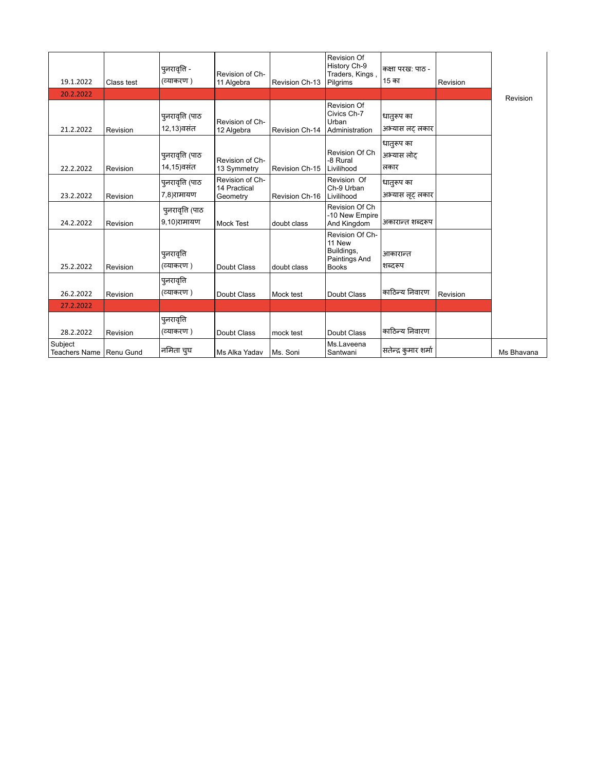| 19.1.2022                            | Class test | पुनरावृत्ति -<br>(व्याकरण )    | Revision of Ch-<br>11 Algebra               | Revision Ch-13 | Revision Of<br>History Ch-9<br>Traders, Kings,<br>Pilgrims               | कक्षा परख: पाठ -<br>15 का       | Revision |            |
|--------------------------------------|------------|--------------------------------|---------------------------------------------|----------------|--------------------------------------------------------------------------|---------------------------------|----------|------------|
| 20.2.2022                            |            |                                |                                             |                |                                                                          |                                 |          | Revision   |
| 21.2.2022                            | Revision   | पुनरावृत्ति (पाठ<br>12,13)वसंत | Revision of Ch-<br>12 Algebra               | Revision Ch-14 | Revision Of<br>Civics Ch-7<br>Urban<br>Administration                    | धातुरूप का<br>अभ्यास लट् लकार   |          |            |
| 22.2.2022                            | Revision   | पुनरावृत्ति (पाठ<br>14,15)वसंत | Revision of Ch-<br>13 Symmetry              | Revision Ch-15 | Revision Of Ch<br>-8 Rural<br>Livilihood                                 | धात्ऊप का<br>अभ्यास लोट<br>लकार |          |            |
| 23.2.2022                            | Revision   | पुनरावृत्ति (पाठ<br>7.8)रामायण | Revision of Ch-<br>14 Practical<br>Geometry | Revision Ch-16 | Revision Of<br>Ch-9 Urban<br>Livilihood                                  | धातुरूप का<br>अभ्यास लूट लकार   |          |            |
| 24.2.2022                            | Revision   | पुनरावृति (पाठ<br>9,10)रामायण  | <b>Mock Test</b>                            | doubt class    | Revision Of Ch<br>-10 New Empire<br>And Kingdom                          | अकारान्त शब्दरूप                |          |            |
| 25.2.2022                            | Revision   | पुनरावृति<br>(व्याकरण )        | Doubt Class                                 | doubt class    | Revision Of Ch-<br>11 New<br>Buildings,<br>Paintings And<br><b>Books</b> | आकारान्त<br>शब्दरूप             |          |            |
| 26.2.2022                            | Revision   | पुनरावृत्ति<br>(व्याकरण )      | Doubt Class                                 | Mock test      | Doubt Class                                                              | काठिन्य निवारण                  | Revision |            |
| 27.2.2022                            |            |                                |                                             |                |                                                                          |                                 |          |            |
| 28.2.2022                            | Revision   | पुनरावृत्ति<br>(व्याकरण )      | Doubt Class                                 | mock test      | Doubt Class                                                              | काठिन्य निवारण                  |          |            |
| Subject<br>Teachers Name   Renu Gund |            | नमिता चुघ                      | Ms Alka Yadav                               | Ms. Soni       | Ms.Laveena<br>Santwani                                                   | सतेन्द्र कुमार शर्मा            |          | Ms Bhavana |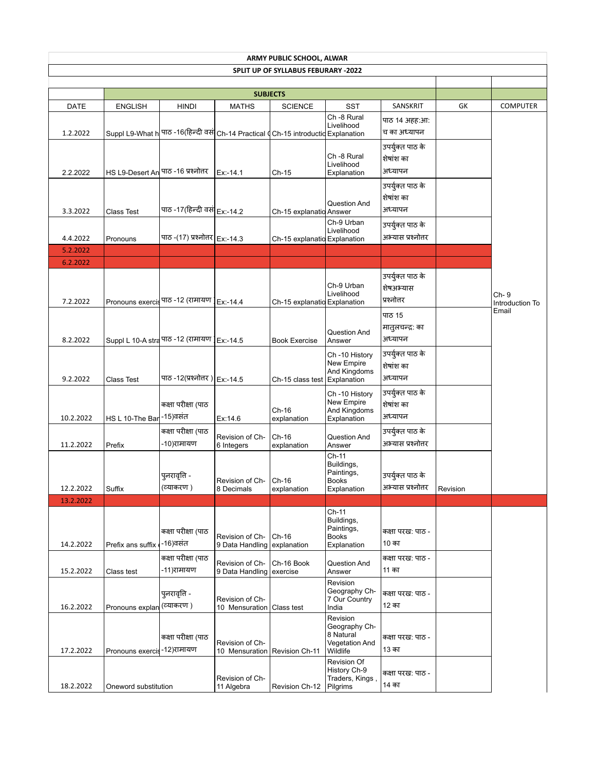| <b>ARMY PUBLIC SCHOOL, ALWAR</b> |                                     |                                                                    |                               |                                     |                             |                                      |          |                         |  |
|----------------------------------|-------------------------------------|--------------------------------------------------------------------|-------------------------------|-------------------------------------|-----------------------------|--------------------------------------|----------|-------------------------|--|
|                                  |                                     |                                                                    |                               | SPLIT UP OF SYLLABUS FEBURARY -2022 |                             |                                      |          |                         |  |
|                                  |                                     |                                                                    | <b>SUBJECTS</b>               |                                     |                             |                                      |          |                         |  |
| DATE                             | <b>ENGLISH</b>                      | <b>HINDI</b>                                                       | <b>MATHS</b>                  | <b>SCIENCE</b>                      | <b>SST</b>                  | SANSKRIT                             | GK       | <b>COMPUTER</b>         |  |
|                                  |                                     |                                                                    |                               |                                     | Ch -8 Rural                 | पाठ 14 अहह:आ:                        |          |                         |  |
| 1.2.2022                         | Suppl L9-What h                     | पाठ -16(हिन्दी वसं Ch-14 Practical d Ch-15 introductid Explanation |                               |                                     | Livelihood                  | च का अध्यापन                         |          |                         |  |
|                                  |                                     |                                                                    |                               |                                     |                             | उपर्युक्त पाठ के                     |          |                         |  |
|                                  |                                     |                                                                    |                               |                                     | Ch -8 Rural                 | शेषांश का                            |          |                         |  |
| 2.2.2022                         | HS L9-Desert An पाठ -16 प्रश्नोत्तर |                                                                    | Ex:-14.1                      | $Ch-15$                             | Livelihood<br>Explanation   | अध्यापन                              |          |                         |  |
|                                  |                                     |                                                                    |                               |                                     |                             | उपर्युक्त पाठ के                     |          |                         |  |
|                                  |                                     |                                                                    |                               |                                     |                             | शेषांश का                            |          |                         |  |
| 3.3.2022                         | <b>Class Test</b>                   | पाठ -17(हिन्दी वसं Ex:-14.2                                        |                               | Ch-15 explanatid Answer             | Question And                | अध्यापन                              |          |                         |  |
|                                  |                                     |                                                                    |                               |                                     | Ch-9 Urban                  | उपर्युक्त पाठ के                     |          |                         |  |
| 4.4.2022                         | Pronouns                            | पाठ -(17) प्रश्नोत्तर   Ex:-14.3                                   |                               | Ch-15 explanatid Explanation        | Livelihood                  | अभ्यास प्रश्नोत्तर                   |          |                         |  |
| 5.2.2022                         |                                     |                                                                    |                               |                                     |                             |                                      |          |                         |  |
| 6.2.2022                         |                                     |                                                                    |                               |                                     |                             |                                      |          |                         |  |
|                                  |                                     |                                                                    |                               |                                     |                             | उपर्युक्त पाठ के                     |          |                         |  |
|                                  |                                     |                                                                    |                               |                                     | Ch-9 Urban                  | शेषअभ्यास                            |          |                         |  |
| 7.2.2022                         |                                     | Pronouns exercis पाठ -12 (रामायण ) Ex:-14.4                        |                               | Ch-15 explanatid Explanation        | Livelihood                  | प्रश्नोत्तर                          |          | Ch-9<br>Introduction To |  |
|                                  |                                     |                                                                    |                               |                                     |                             | पाठ 15                               |          | Email                   |  |
|                                  |                                     |                                                                    |                               |                                     |                             | मातुलचन्द्रः का                      |          |                         |  |
| 8.2.2022                         |                                     | Suppl L 10-A stra पाठ -12 (रामायण )                                | Ex:-14.5                      | <b>Book Exercise</b>                | Question And<br>Answer      | अध्यापन                              |          |                         |  |
|                                  |                                     |                                                                    |                               |                                     | Ch-10 History               | उपर्युक्त पाठ के                     |          |                         |  |
|                                  |                                     |                                                                    |                               |                                     | New Empire                  | शेषांश का                            |          |                         |  |
| 9.2.2022                         | <b>Class Test</b>                   | पाठ -12(प्रश्नोत्तर)   Ex:-14.5                                    |                               | Ch-15 class test Explanation        | And Kingdoms                | अध्यापन                              |          |                         |  |
|                                  |                                     |                                                                    |                               |                                     | Ch-10 History               | उपर्युक्त पाठ के                     |          |                         |  |
|                                  |                                     | कक्षा परीक्षा (पाठ                                                 |                               |                                     | New Empire                  | शेषांश का                            |          |                         |  |
| 10.2.2022                        | HS L 10-The Bar -15) वसंत           |                                                                    | Ex:14.6                       | Ch-16<br>explanation                | And Kingdoms<br>Explanation | अध्यापन                              |          |                         |  |
|                                  |                                     | कक्षा परीक्षा (पाठ                                                 |                               |                                     |                             | उपर्युक्त पाठ के                     |          |                         |  |
| 11.2.2022                        | Prefix                              | -10)रामायण                                                         | Revision of Ch-<br>6 Integers | $Ch-16$<br>explanation              | Question And<br>Answer      | अभ्यास प्रश्नोत्तर                   |          |                         |  |
|                                  |                                     |                                                                    |                               |                                     | Ch-11                       |                                      |          |                         |  |
|                                  |                                     |                                                                    |                               |                                     | Buildings,<br>Paintings,    |                                      |          |                         |  |
|                                  |                                     | पुनरावृत्ति -<br>(व्याकरण )                                        | Revision of Ch-               | $Ch-16$                             | <b>Books</b>                | उपर्युक्त पाठ के<br>अभ्यास प्रश्नातर |          |                         |  |
| 12.2.2022<br>13.2.2022           | Suffix                              |                                                                    | 8 Decimals                    | explanation                         | Explanation                 |                                      | Revision |                         |  |
|                                  |                                     |                                                                    |                               |                                     | Ch-11                       |                                      |          |                         |  |
|                                  |                                     |                                                                    |                               |                                     | Buildings,                  |                                      |          |                         |  |
|                                  |                                     | कक्षा परीक्षा (पाठ                                                 | Revision of Ch-               | $Ch-16$                             | Paintings,<br><b>Books</b>  | कक्षा परख: पाठ -                     |          |                         |  |
| 14.2.2022                        | Prefix ans suffix                   | -16)वसंत                                                           | 9 Data Handling               | explanation                         | Explanation                 | 10 का                                |          |                         |  |
|                                  |                                     | कक्षा परीक्षा (पाठ                                                 | Revision of Ch-               | Ch-16 Book                          | Question And                | कक्षा परख: पाठ -                     |          |                         |  |
| 15.2.2022                        | Class test                          | -11)रामायण                                                         | 9 Data Handling               | exercise                            | Answer                      | 11 का                                |          |                         |  |
|                                  |                                     |                                                                    |                               |                                     | Revision<br>Geography Ch-   |                                      |          |                         |  |
|                                  |                                     | पुनरावृत्ति -<br>(व्याकरण )                                        | Revision of Ch-               |                                     | 7 Our Country               | कक्षा परख: पाठ -<br>12 का            |          |                         |  |
| 16.2.2022                        | Pronouns explar                     |                                                                    | 10 Mensuration                | Class test                          | India<br>Revision           |                                      |          |                         |  |
|                                  |                                     |                                                                    |                               |                                     | Geography Ch-               |                                      |          |                         |  |
|                                  |                                     | कक्षा परीक्षा (पाठ                                                 | Revision of Ch-               |                                     | 8 Natural<br>Vegetation And | कक्षा परख: पाठ -                     |          |                         |  |
| 17.2.2022                        | Pronouns exercis                    | -12)रामायण                                                         | 10 Mensuration                | Revision Ch-11                      | Wildlife                    | 13 का                                |          |                         |  |
|                                  |                                     |                                                                    |                               |                                     | Revision Of<br>History Ch-9 |                                      |          |                         |  |
|                                  |                                     |                                                                    | Revision of Ch-               |                                     | Traders, Kings,             | कक्षा परख: पाठ -                     |          |                         |  |
| 18.2.2022                        | Oneword substitution                |                                                                    | 11 Algebra                    | Revision Ch-12                      | Pilgrims                    | 14 का                                |          |                         |  |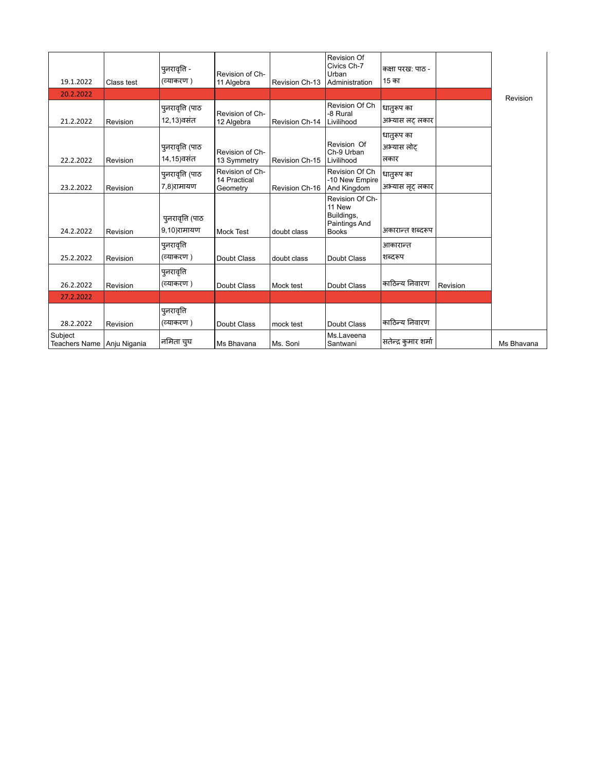| 19.1.2022                               | Class test | पुनरावृत्ति -<br>(व्याकरण)      | Revision of Ch-<br>11 Algebra               | Revision Ch-13 | Revision Of<br>Civics Ch-7<br>Urban<br>Administration                    | कक्षा परख: पाठ -<br>15 का        |          |            |
|-----------------------------------------|------------|---------------------------------|---------------------------------------------|----------------|--------------------------------------------------------------------------|----------------------------------|----------|------------|
| 20.2.2022                               |            |                                 |                                             |                |                                                                          |                                  |          | Revision   |
| 21.2.2022                               | Revision   | पुनरावृत्ति (पाठ<br>12,13)वसंत  | Revision of Ch-<br>12 Algebra               | Revision Ch-14 | Revision Of Ch<br>-8 Rural<br>Livilihood                                 | धातुरूप का<br>अभ्यास लट् लकार    |          |            |
| 22.2.2022                               | Revision   | पुनरावृत्ति (पाठ<br>14,15)वसंत  | Revision of Ch-<br>13 Symmetry              | Revision Ch-15 | Revision Of<br>Ch-9 Urban<br>Livilihood                                  | धातुरूप का<br>अभ्यास लोट<br>लकार |          |            |
| 23.2.2022                               | Revision   | पुनरावृत्ति (पाठ<br>7,8)रामायण  | Revision of Ch-<br>14 Practical<br>Geometry | Revision Ch-16 | Revision Of Ch<br>-10 New Empire<br>And Kingdom                          | धातुरूप का<br>अभ्यास लट लकार     |          |            |
| 24.2.2022                               | Revision   | पुनरावृत्ति (पाठ<br>9,10)रामायण | <b>Mock Test</b>                            | doubt class    | Revision Of Ch-<br>11 New<br>Buildings,<br>Paintings And<br><b>Books</b> | अकारान्त शब्दरूप                 |          |            |
| 25.2.2022                               | Revision   | पुनरावृत्ति<br>(व्याकरण)        | Doubt Class                                 | doubt class    | Doubt Class                                                              | आकारान्त<br>शब्दरूप              |          |            |
| 26.2.2022                               | Revision   | पुनरावृत्ति<br>(व्याकरण)        | Doubt Class                                 | Mock test      | Doubt Class                                                              | काठिन्य निवारण                   | Revision |            |
| 27.2.2022                               |            |                                 |                                             |                |                                                                          |                                  |          |            |
| 28.2.2022                               | Revision   | पुनरावृत्ति<br>(व्याकरण)        | Doubt Class                                 | mock test      | Doubt Class                                                              | काठिन्य निवारण                   |          |            |
| Subject<br>Teachers Name   Anju Nigania |            | नमिता चुघ                       | Ms Bhavana                                  | Ms. Soni       | Ms.Laveena<br>Santwani                                                   | सतेन्द्र कुमार शर्मा             |          | Ms Bhavana |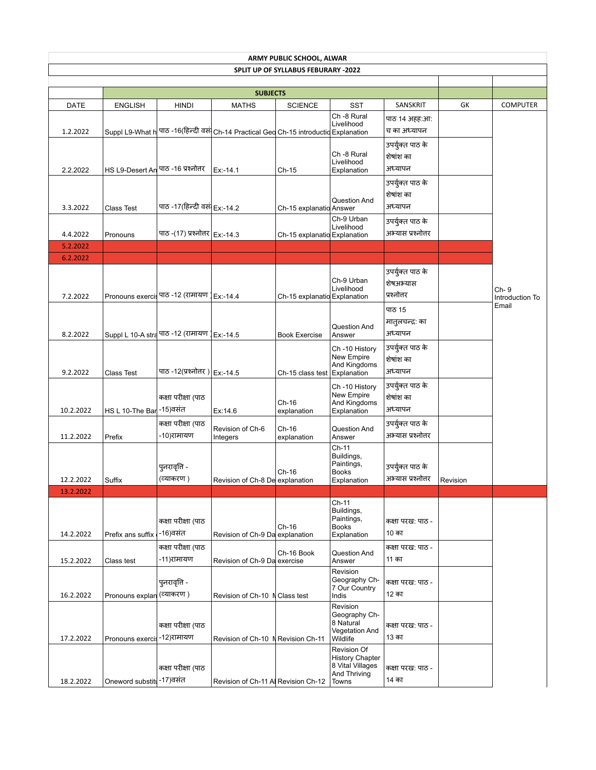| ARMY PUBLIC SCHOOL, ALWAR           |                           |                                              |                                                                                      |                              |                                                                                    |                                              |          |                         |  |  |
|-------------------------------------|---------------------------|----------------------------------------------|--------------------------------------------------------------------------------------|------------------------------|------------------------------------------------------------------------------------|----------------------------------------------|----------|-------------------------|--|--|
| SPLIT UP OF SYLLABUS FEBURARY -2022 |                           |                                              |                                                                                      |                              |                                                                                    |                                              |          |                         |  |  |
|                                     |                           |                                              | <b>SUBJECTS</b>                                                                      |                              |                                                                                    |                                              |          |                         |  |  |
| DATE                                | <b>ENGLISH</b>            | <b>HINDI</b>                                 | <b>MATHS</b>                                                                         | <b>SCIENCE</b>               | <b>SST</b>                                                                         | SANSKRIT                                     | GK       | <b>COMPUTER</b>         |  |  |
| 1.2.2022                            |                           |                                              | Suppl L9-What h पाठ -16(हिन्दी वसं Ch-14 Practical Geo Ch-15 introductid Explanation |                              | Ch -8 Rural<br>Livelihood                                                          | पाठ 14 अहह:आ:<br>च का अध्यापन                |          |                         |  |  |
| 2.2.2022                            | HS L9-Desert An           | पाठ -16 प्रश्नोत्तर                          | Ex:-14.1                                                                             | Ch-15                        | Ch -8 Rural<br>Livelihood<br>Explanation                                           | उपर्युक्त पाठ के<br>शेषांश का<br>अध्यापन     |          |                         |  |  |
| 3.3.2022                            | Class Test                | पाठ -17(हिन्दी वसं Ex:-14.2                  |                                                                                      | Ch-15 explanatio Answer      | Question And                                                                       | उपर्युक्त पाठ के<br>शेषांश का<br>अध्यापन     |          |                         |  |  |
| 4.4.2022                            | Pronouns                  | पाठ -(17) प्रश्नोत्तर   Ex:-14.3             |                                                                                      | Ch-15 explanatid Explanation | Ch-9 Urban<br>Livelihood                                                           | उपर्युक्त पाठ के<br>अभ्यास प्रश्नोत्तर       |          |                         |  |  |
| 5.2.2022                            |                           |                                              |                                                                                      |                              |                                                                                    |                                              |          |                         |  |  |
| 6.2.2022<br>7.2.2022                | Pronouns exercis          | पाठ -12 (रामायण )                            | Ex:-14.4                                                                             | Ch-15 explanatid Explanation | Ch-9 Urban<br>Livelihood                                                           | उपर्युक्त पाठ के<br>शेषअभ्यास<br>प्रश्नोत्तर |          | Ch-9<br>Introduction To |  |  |
| 8.2.2022                            |                           | Suppl L 10-A stra पाठ -12 (रामायण   Ex:-14.5 |                                                                                      | <b>Book Exercise</b>         | Question And<br>Answer                                                             | पाठ 15<br>मातुलचन्द्रः का<br>अध्यापन         |          | Email                   |  |  |
| 9.2.2022                            | <b>Class Test</b>         | पाठ -12(प्रश्नोत्तर ) Ex:-14.5               |                                                                                      | Ch-15 class test             | Ch-10 History<br>New Empire<br>And Kingdoms<br>Explanation                         | उपर्युक्त पाठ के<br>शेषांश का<br>अध्यापन     |          |                         |  |  |
| 10.2.2022                           | HS L 10-The Bar -15) वसंत | कक्षा परीक्षा (पाठ                           | Ex:14.6                                                                              | Ch-16<br>explanation         | Ch-10 History<br>New Empire<br>And Kingdoms<br>Explanation                         | उपर्युक्त पाठ के<br>शेषांश का<br>अध्यापन     |          |                         |  |  |
| 11.2.2022                           | Prefix                    | कक्षा परीक्षा (पाठ<br>-10)रामायण             | Revision of Ch-6<br>Integers                                                         | Ch-16<br>explanation         | Question And<br>Answer                                                             | उपर्युक्त पाठ के<br>अभ्यास प्रश्नोत्तर       |          |                         |  |  |
| 12.2.2022                           | Suffix                    | पुनरावृत्ति -<br>(व्याकरण )                  | Revision of Ch-8 De explanation                                                      | Ch-16                        | Ch-11<br>Buildings,<br>Paintings,<br><b>Books</b><br>Explanation                   | उपर्युक्त पाठ के<br>अभ्यास प्रश्नोत्तर       | Revision |                         |  |  |
| 13.2.2022                           |                           |                                              |                                                                                      |                              |                                                                                    |                                              |          |                         |  |  |
| 14.2.2022                           | Prefix ans suffix         | कक्षा परीक्षा (पाठ<br>-16)वसंत               | Revision of Ch-9 Da explanation                                                      | Ch-16                        | $Ch-11$<br>Buildings,<br>Paintings,<br><b>Books</b><br>Explanation                 | कक्षा परख: पाठ -<br>10 का                    |          |                         |  |  |
| 15.2.2022                           | Class test                | कक्षा परीक्षा (पाठ<br>-11)रामायण             | Revision of Ch-9 Dal exercise                                                        | Ch-16 Book                   | Question And<br>Answer                                                             | कक्षा परख: पाठ -<br>11 का                    |          |                         |  |  |
| 16.2.2022                           | Pronouns explan           | पुनरावृत्ति -<br>(व्याकरण )                  | Revision of Ch-10 N Class test                                                       |                              | Revision<br>Geography Ch-<br>7 Our Country<br>Indis                                | कक्षा परख: पाठ -<br>12 का                    |          |                         |  |  |
| 17.2.2022                           | Pronouns exercis          | कक्षा परीक्षा (पाठ<br>-12)रामायण             | Revision of Ch-10 N Revision Ch-11                                                   |                              | Revision<br>Geography Ch-<br>8 Natural<br><b>Vegetation And</b><br>Wildlife        | कक्षा परख: पाठ -<br>13 का                    |          |                         |  |  |
| 18.2.2022                           | Oneword substitu-17)वसंत  | कक्षा परीक्षा (पाठ                           | Revision of Ch-11 Al Revision Ch-12                                                  |                              | Revision Of<br><b>History Chapter</b><br>8 Vital Villages<br>And Thriving<br>Towns | कक्षा परख: पाठ -<br>14 का                    |          |                         |  |  |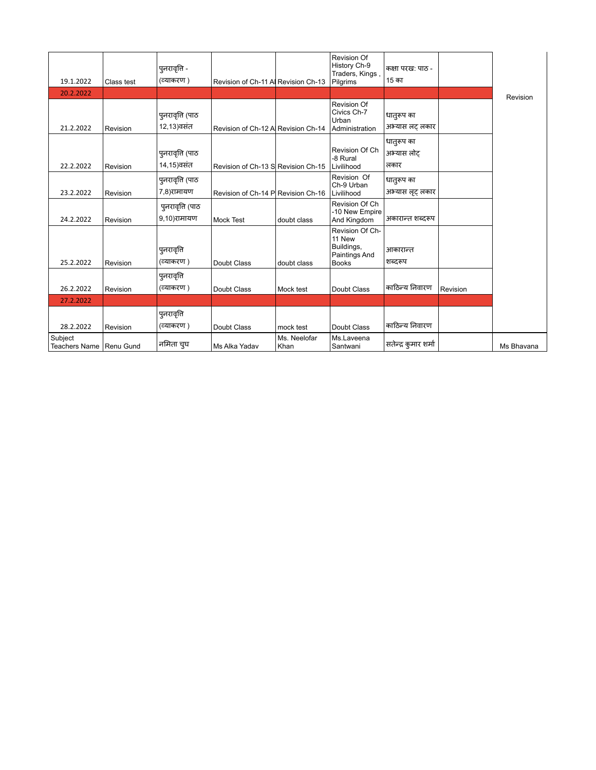| 19.1.2022                            | Class test | पुनरावृत्ति -<br>(व्याकरण)      | Revision of Ch-11 Al Revision Ch-13 |                      | <b>Revision Of</b><br>History Ch-9<br>Traders, Kings,<br>Pilgrims        | कक्षा परख: पाठ -<br>15 का        |          |            |
|--------------------------------------|------------|---------------------------------|-------------------------------------|----------------------|--------------------------------------------------------------------------|----------------------------------|----------|------------|
| 20.2.2022                            |            |                                 |                                     |                      |                                                                          |                                  |          |            |
| 21.2.2022                            | Revision   | पुनरावृत्ति (पाठ<br>12,13)वसंत  | Revision of Ch-12 Al Revision Ch-14 |                      | <b>Revision Of</b><br>Civics Ch-7<br>Urban<br>Administration             | धातुरूप का<br>अभ्यास लट् लकार    |          | Revision   |
| 22.2.2022                            | Revision   | पुनरावृत्ति (पाठ<br>14,15)वसंत  | Revision of Ch-13 S Revision Ch-15  |                      | Revision Of Ch<br>-8 Rural<br>Livilihood                                 | धातुरूप का<br>अभ्यास लोट<br>लकार |          |            |
| 23.2.2022                            | Revision   | पुनरावृत्ति (पाठ<br>7,8)रामायण  | Revision of Ch-14 P Revision Ch-16  |                      | Revision Of<br>Ch-9 Urban<br>Livilihood                                  | धातुरूप का<br>अभ्यास लूट लकार    |          |            |
| 24.2.2022                            | Revision   | पुनरावृत्ति (पाठ<br>9,10)रामायण | <b>Mock Test</b>                    | doubt class          | Revision Of Ch<br>-10 New Empire<br>And Kingdom                          | अकारान्त शब्दरूप                 |          |            |
| 25.2.2022                            | Revision   | पुनरावृति<br>(व्याकरण)          | Doubt Class                         | doubt class          | Revision Of Ch-<br>11 New<br>Buildings,<br>Paintings And<br><b>Books</b> | आकारान्त<br>शब्दरूप              |          |            |
| 26.2.2022                            | Revision   | पुनरावृत्ति<br>(व्याकरण)        | Doubt Class                         | Mock test            | Doubt Class                                                              | काठिन्य निवारण                   | Revision |            |
| 27.2.2022                            |            |                                 |                                     |                      |                                                                          |                                  |          |            |
| 28.2.2022                            | Revision   | पुनरावृत्ति<br>(व्याकरण)        | Doubt Class                         | mock test            | Doubt Class                                                              | काठिन्य निवारण                   |          |            |
| Subject<br>Teachers Name   Renu Gund |            | नमिता चुघ                       | Ms Alka Yadav                       | Ms. Neelofar<br>Khan | Ms.Laveena<br>Santwani                                                   | सतेन्द्र कुमार शर्मा             |          | Ms Bhavana |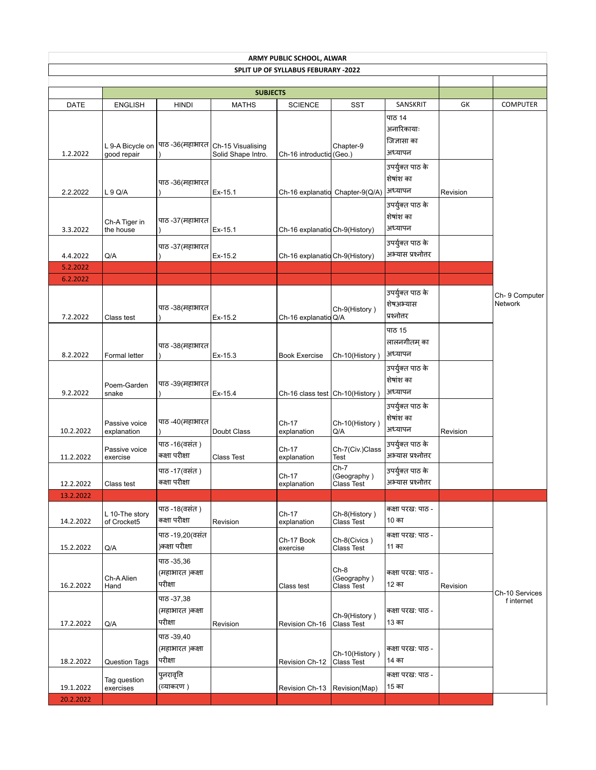|                      | ARMY PUBLIC SCHOOL, ALWAR       |                                          |                                                           |                                            |                                    |                                                |          |                                 |  |  |
|----------------------|---------------------------------|------------------------------------------|-----------------------------------------------------------|--------------------------------------------|------------------------------------|------------------------------------------------|----------|---------------------------------|--|--|
|                      |                                 |                                          |                                                           | <b>SPLIT UP OF SYLLABUS FEBURARY -2022</b> |                                    |                                                |          |                                 |  |  |
|                      |                                 |                                          |                                                           |                                            |                                    |                                                |          |                                 |  |  |
|                      |                                 |                                          | <b>SUBJECTS</b>                                           |                                            |                                    |                                                |          |                                 |  |  |
| DATE                 | <b>ENGLISH</b>                  | <b>HINDI</b>                             | <b>MATHS</b>                                              | <b>SCIENCE</b>                             | <b>SST</b>                         | SANSKRIT                                       | GK       | <b>COMPUTER</b>                 |  |  |
| 1.2.2022             | L 9-A Bicycle on<br>good repair |                                          | पाठ -36(महाभारत   Ch-15 Visualising<br>Solid Shape Intro. | Ch-16 introductid (Geo.)                   | Chapter-9                          | पाठ 14<br>अनारिकायाः<br>जिज्ञासा का<br>अध्यापन |          |                                 |  |  |
| 2.2.2022             | L 9 Q/A                         | पाठ -36(महाभारत                          | Ex-15.1                                                   |                                            | Ch-16 explanatid Chapter-9(Q/A)    | उपर्युक्त पाठ के<br>शेषांश का<br>अध्यापन       | Revision |                                 |  |  |
| 3.3.2022             | Ch-A Tiger in<br>the house      | पाठ -37(महाभारत                          | Ex-15.1                                                   | Ch-16 explanatid Ch-9(History)             |                                    | उपर्युक्त पाठ के<br>शेषांश का<br>अध्यापन       |          |                                 |  |  |
| 4.4.2022             | Q/A                             | पाठ -37(महाभारत                          | Ex-15.2                                                   | Ch-16 explanatid Ch-9(History)             |                                    | उपर्युक्त पाठ के<br>अभ्यास प्रश्नोत्तर         |          |                                 |  |  |
| 5.2.2022             |                                 |                                          |                                                           |                                            |                                    |                                                |          |                                 |  |  |
| 6.2.2022<br>7.2.2022 | Class test                      | पाठ -38(महाभारत                          | Ex-15.2                                                   | Ch-16 explanatid Q/A                       | Ch-9(History)                      | उपर्युक्त पाठ के<br>शेषअभ्यास<br>प्रश्नोत्तर   |          | Ch-9 Computer<br><b>Network</b> |  |  |
| 8.2.2022             | Formal letter                   | पाठ -38(महाभारत                          | Ex-15.3                                                   | <b>Book Exercise</b>                       | Ch-10(History)                     | पाठ 15<br>लालनगीतम् का<br>अध्यापन              |          |                                 |  |  |
| 9.2.2022             | Poem-Garden<br>snake            | पाठ -39(महाभारत                          | Ex-15.4                                                   | Ch-16 class test Ch-10(History)            |                                    | उपर्युक्त पाठ के<br>शेषांश का<br>अध्यापन       |          |                                 |  |  |
| 10.2.2022            | Passive voice<br>explanation    | पाठ -40(महाभारत                          | Doubt Class                                               | Ch-17<br>explanation                       | Ch-10(History)<br>Q/A              | उपर्युक्त पाठ के<br>शेषांश का<br>अध्यापन       | Revision |                                 |  |  |
| 11.2.2022            | Passive voice<br>exercise       | पाठ -16(वसंत )<br>कक्षा परीक्षा          | Class Test                                                | Ch-17<br>explanation                       | Ch-7(Civ.)Class<br>Test            | उपर्युक्त पाठ के<br>अभ्यास प्रश्नोत्तर         |          |                                 |  |  |
| 12.2.2022            | Class test                      | पाठ -17(वसंत )<br>कक्षा परीक्षा          |                                                           | Ch-17<br>explanation                       | Ch-7<br>(Geography)<br>Class Test  | उपर्युक्त पाठ के<br>अभ्यास प्रश्नोत्तर         |          |                                 |  |  |
| 13.2.2022            |                                 |                                          |                                                           |                                            |                                    |                                                |          |                                 |  |  |
| 14.2.2022            | L 10-The story<br>of Crocket5   | पाठ -18(वसंत)<br>कक्षा परीक्षा           | Revision                                                  | Ch-17<br>explanation                       | Ch-8(History)<br>Class Test        | कक्षा परख: पाठ -<br>10 का                      |          |                                 |  |  |
| 15.2.2022            | Q/A                             | पाठ -19,20(वसंत<br>)कक्षा परीक्षा        |                                                           | Ch-17 Book<br>exercise                     | Ch-8(Civics)<br><b>Class Test</b>  | कक्षा परख: पाठ -<br>11 का                      |          |                                 |  |  |
| 16.2.2022            | Ch-A Alien<br>Hand              | पाठ -35,36<br>(महाभारत )कक्षा<br>परीक्षा |                                                           | Class test                                 | Ch-8<br>(Geography)<br>Class Test  | कक्षा परख: पाठ -<br>12 का                      | Revision | Ch-10 Services                  |  |  |
| 17.2.2022            | Q/A                             | ਧਾਠ -37,38<br>(महाभारत )कक्षा<br>परीक्षा | Revision                                                  | Revision Ch-16                             | Ch-9(History)<br><b>Class Test</b> | कक्षा परख: पाठ -<br>13 का                      |          | f internet                      |  |  |
| 18.2.2022            | <b>Question Tags</b>            | ਧਾਠ -39,40<br>(महाभारत )कक्षा<br>परीक्षा |                                                           | Revision Ch-12                             | Ch-10(History)<br>Class Test       | कक्षा परख: पाठ -<br>14 का                      |          |                                 |  |  |
| 19.1.2022            | Tag question<br>exercises       | पुनरावृत्ति<br>(व्याकरण )                |                                                           | Revision Ch-13                             | Revision(Map)                      | कक्षा परख: पाठ -<br>15 का                      |          |                                 |  |  |
| 20.2.2022            |                                 |                                          |                                                           |                                            |                                    |                                                |          |                                 |  |  |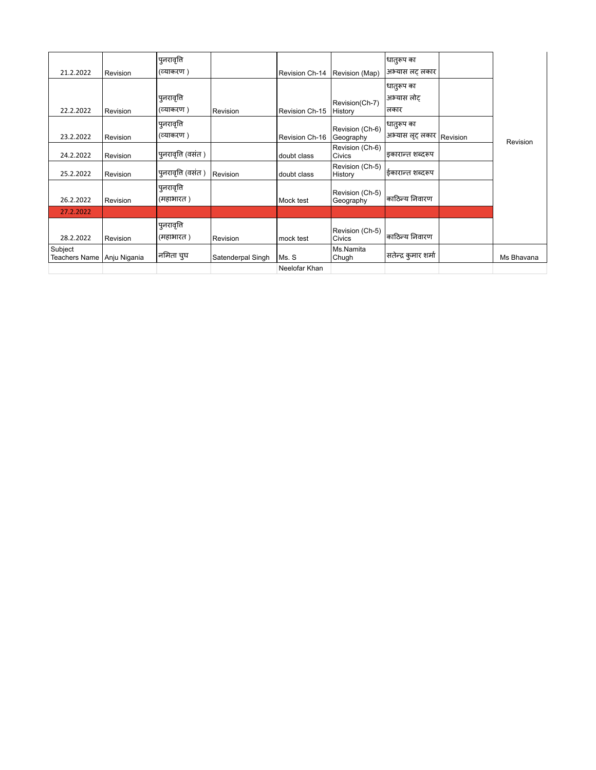|                                 |              | पुनरावृत्ति               |                   |                |                                  | धातुरूप का                       |          |            |
|---------------------------------|--------------|---------------------------|-------------------|----------------|----------------------------------|----------------------------------|----------|------------|
| 21.2.2022                       | Revision     | (व्याकरण )                |                   | Revision Ch-14 | Revision (Map)                   | अभ्यास लट् लकार                  |          |            |
| 22.2.2022                       | Revision     | पुनरावृत्ति<br>(व्याकरण ) | Revision          | Revision Ch-15 | Revision(Ch-7)<br>History        | धातुरूप का<br>अभ्यास लोट<br>लकार |          |            |
| 23.2.2022                       | Revision     | पुनरावृत्ति<br>(व्याकरण ) |                   | Revision Ch-16 | Revision (Ch-6)<br>Geography     | धातुरूप का<br>अभ्यास लूट् लकार   | Revision | Revision   |
| 24.2.2022                       | Revision     | पुनरावृत्ति (वसंत )       |                   | doubt class    | Revision (Ch-6)<br>Civics        | इकारान्त शब्दरूप                 |          |            |
| 25.2.2022                       | Revision     | पुनरावृत्ति (वसंत )       | Revision          | doubt class    | Revision (Ch-5)<br>History       | ईकारान्त शब्दरूप                 |          |            |
| 26.2.2022                       | Revision     | पुनरावृत्ति<br>(महाभारत ) |                   | Mock test      | Revision (Ch-5)<br>Geography     | काठिन्य निवारण                   |          |            |
| 27.2.2022                       |              |                           |                   |                |                                  |                                  |          |            |
| 28.2.2022                       | Revision     | पुनरावृत्ति<br>(महाभारत)  | Revision          | mock test      | Revision (Ch-5)<br><b>Civics</b> | काठिन्य निवारण                   |          |            |
| Subject<br><b>Teachers Name</b> | Anju Nigania | नमिता चुघ                 | Satenderpal Singh | Ms. S          | Ms.Namita<br>Chugh               | सतेन्द्र कुमार शर्मा             |          | Ms Bhavana |
|                                 |              |                           |                   | Neelofar Khan  |                                  |                                  |          |            |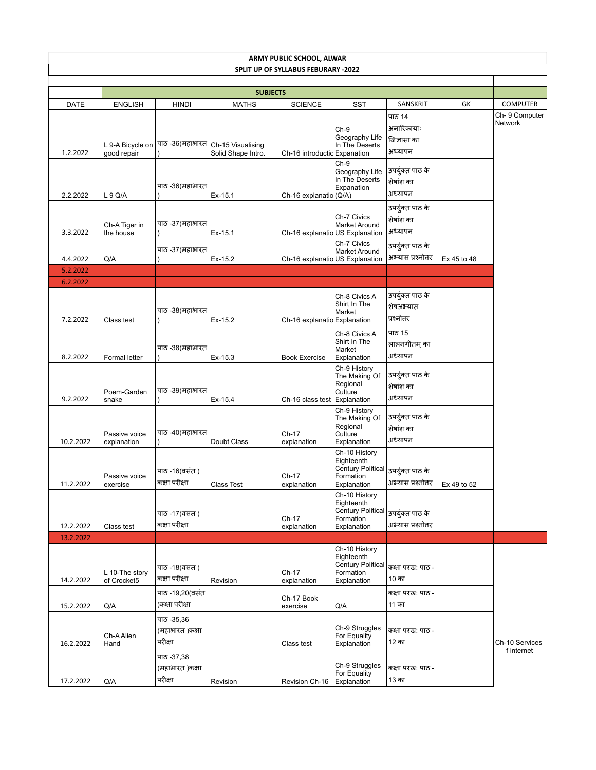|                      | ARMY PUBLIC SCHOOL, ALWAR       |                                          |                                                           |                                            |                                                                                     |                                                |             |                                 |  |  |
|----------------------|---------------------------------|------------------------------------------|-----------------------------------------------------------|--------------------------------------------|-------------------------------------------------------------------------------------|------------------------------------------------|-------------|---------------------------------|--|--|
|                      |                                 |                                          |                                                           | <b>SPLIT UP OF SYLLABUS FEBURARY -2022</b> |                                                                                     |                                                |             |                                 |  |  |
|                      |                                 |                                          |                                                           |                                            |                                                                                     |                                                |             |                                 |  |  |
|                      |                                 |                                          | <b>SUBJECTS</b>                                           |                                            |                                                                                     |                                                |             |                                 |  |  |
| <b>DATE</b>          | <b>ENGLISH</b>                  | <b>HINDI</b>                             | <b>MATHS</b>                                              | <b>SCIENCE</b>                             | <b>SST</b>                                                                          | SANSKRIT                                       | GK          | <b>COMPUTER</b>                 |  |  |
| 1.2.2022             | L 9-A Bicycle on<br>good repair |                                          | पाठ -36(महाभारत   Ch-15 Visualising<br>Solid Shape Intro. | Ch-16 introductid Expanation               | $Ch-9$<br>Geography Life<br>In The Deserts                                          | पाठ 14<br>अनारिकायाः<br>जिज्ञासा का<br>अध्यापन |             | Ch-9 Computer<br><b>Network</b> |  |  |
| 2.2.2022             | L 9 Q/A                         | पाठ -36(महाभारत                          | Ex-15.1                                                   | Ch-16 explanatid (Q/A)                     | $Ch-9$<br>Geography Life<br>In The Deserts<br>Expanation                            | उपर्युक्त पाठ के<br>शेषांश का<br>अध्यापन       |             |                                 |  |  |
| 3.3.2022             | Ch-A Tiger in<br>the house      | पाठ -37(महाभारत                          | Ex-15.1                                                   | Ch-16 explanatid US Explanation            | Ch-7 Civics<br>Market Around                                                        | उपर्युक्त पाठ के<br>शेषांश का<br>अध्यापन       |             |                                 |  |  |
| 4.4.2022             | Q/A                             | पाठ -37(महाभारत                          | Ex-15.2                                                   | Ch-16 explanatid US Explanation            | Ch-7 Civics<br>Market Around                                                        | उपर्युक्त पाठ के<br>अभ्यास प्रश्नोत्तर         | Ex 45 to 48 |                                 |  |  |
| 5.2.2022             |                                 |                                          |                                                           |                                            |                                                                                     |                                                |             |                                 |  |  |
| 6.2.2022<br>7.2.2022 | Class test                      | पाठ -38(महाभारत                          | Ex-15.2                                                   | Ch-16 explanatio Explanation               | Ch-8 Civics A<br>Shirt In The<br>Market                                             | उपर्युक्त पाठ के<br>शेषअभ्यास<br>प्रश्नोत्तर   |             |                                 |  |  |
| 8.2.2022             | Formal letter                   | पाठ -38(महाभारत                          | Ex-15.3                                                   | <b>Book Exercise</b>                       | Ch-8 Civics A<br>Shirt In The<br>Market<br>Explanation                              | पाठ 15<br>लालनगीतम् का<br>अध्यापन              |             |                                 |  |  |
| 9.2.2022             | Poem-Garden<br>snake            | पाठ -39(महाभारत                          | Ex-15.4                                                   | Ch-16 class test                           | Ch-9 History<br>The Making Of<br>Regional<br>Culture<br>Explanation                 | उपर्युक्त पाठ के<br>शेषांश का<br>अध्यापन       |             |                                 |  |  |
| 10.2.2022            | Passive voice<br>explanation    | पाठ -40(महाभारत                          | Doubt Class                                               | Ch-17<br>explanation                       | Ch-9 History<br>The Making Of<br>Regional<br>Culture<br>Explanation                 | उपर्युक्त पाठ के<br>शेषांश का<br>अध्यापन       |             |                                 |  |  |
| 11.2.2022            | Passive voice<br>exercise       | पाठ -16(वसंत )<br>कक्षा परीक्षा          | <b>Class Test</b>                                         | Ch-17<br>explanation                       | Ch-10 History<br>Eighteenth<br><b>Century Political</b><br>Formation<br>Explanation | उपर्युक्त पाठ के<br>अभ्यास प्रश्नोत्तर         | Ex 49 to 52 |                                 |  |  |
| 12.2.2022            | Class test                      | पाठ -17(वसंत)<br>कक्षा परीक्षा           |                                                           | Ch-17<br>explanation                       | Ch-10 History<br>Eighteenth<br><b>Century Political</b><br>Formation<br>Explanation | उपर्युक्त पाठ के<br>अभ्यास प्रश्नोत्तर         |             |                                 |  |  |
| 13.2.2022            |                                 |                                          |                                                           |                                            |                                                                                     |                                                |             |                                 |  |  |
| 14.2.2022            | L 10-The story<br>of Crocket5   | पाठ -18(वसंत)<br>कक्षा परीक्षा           | Revision                                                  | Ch-17<br>explanation                       | Ch-10 History<br>Eighteenth<br><b>Century Political</b><br>Formation<br>Explanation | कक्षा परख: पाठ -<br>10 का                      |             |                                 |  |  |
| 15.2.2022            | Q/A                             | पाठ -19,20(वसंत<br>)कक्षा परीक्षा        |                                                           | Ch-17 Book<br>exercise                     | Q/A                                                                                 | कक्षा परख: पाठ -<br>11 का                      |             |                                 |  |  |
| 16.2.2022            | Ch-A Alien<br>Hand              | ਧਾਠ -35,36<br>(महाभारत )कक्षा<br>परीक्षा |                                                           | Class test                                 | Ch-9 Struggles<br>For Equality<br>Explanation                                       | कक्षा परख: पाठ -<br>12 का                      |             | Ch-10 Services<br>f internet    |  |  |
| 17.2.2022            | Q/A                             | ਧਾਠ -37,38<br>(महाभारत )कक्षा<br>परीक्षा | Revision                                                  | Revision Ch-16                             | Ch-9 Struggles<br>For Equality<br>Explanation                                       | कक्षा परख: पाठ -<br>13 का                      |             |                                 |  |  |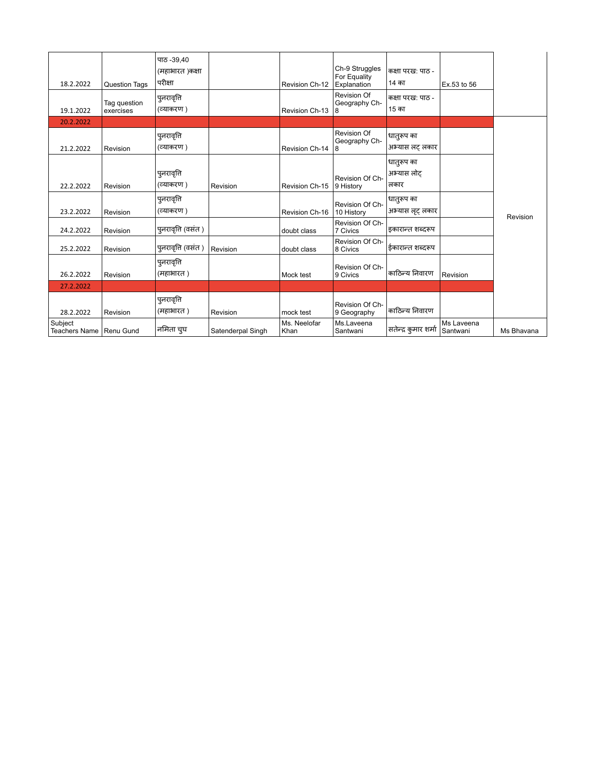| 18.2.2022                            | <b>Question Tags</b>      | ਧਾਨ -39.40<br>(महाभारत )कक्षा<br>परीक्षा |                   | Revision Ch-12       | Ch-9 Struggles<br>For Equality<br>Explanation | कक्षा परख: पाठ -<br>14 का        | Ex.53 to 56            |            |
|--------------------------------------|---------------------------|------------------------------------------|-------------------|----------------------|-----------------------------------------------|----------------------------------|------------------------|------------|
| 19.1.2022                            | Tag question<br>exercises | पुनरावृत्ति<br>(व्याकरण)                 |                   | Revision Ch-13       | <b>Revision Of</b><br>Geography Ch-<br>8      | कक्षा परख: पाठ -<br>15 का        |                        |            |
| 20.2.2022                            |                           |                                          |                   |                      |                                               |                                  |                        |            |
| 21.2.2022                            | Revision                  | पुनरावृत्ति<br>(व्याकरण )                |                   | Revision Ch-14       | Revision Of<br>Geography Ch-<br>8             | धातुरूप का<br>अभ्यास लट लकार     |                        |            |
| 22.2.2022                            | Revision                  | पुनरावृति<br>(व्याकरण)                   | Revision          | Revision Ch-15       | Revision Of Ch-<br>9 History                  | धातुरूप का<br>अभ्यास लोट<br>लकार |                        |            |
| 23.2.2022                            | Revision                  | पुनरावृति<br>(व्याकरण )                  |                   | Revision Ch-16       | Revision Of Ch-<br>10 History                 | धातुरूप का<br>अभ्यास लूट लकार    |                        | Revision   |
| 24.2.2022                            | Revision                  | पुनरावृति (वसंत)                         |                   | doubt class          | Revision Of Ch-<br>7 Civics                   | इकारान्त शब्दरूप                 |                        |            |
| 25.2.2022                            | Revision                  | पुनरावृति (वसंत )                        | Revision          | doubt class          | Revision Of Ch-<br>8 Civics                   | ईकारान्त शब्दरूप                 |                        |            |
| 26.2.2022                            | Revision                  | पुनरावृत्ति<br>(महाभारत)                 |                   | Mock test            | Revision Of Ch-<br>9 Civics                   | काठिन्य निवारण                   | Revision               |            |
| 27.2.2022                            |                           |                                          |                   |                      |                                               |                                  |                        |            |
| 28.2.2022                            | Revision                  | पुनरावृत्ति<br>(महाभारत)                 | Revision          | mock test            | Revision Of Ch-<br>9 Geography                | काठिन्य निवारण                   |                        |            |
| Subject<br>Teachers Name   Renu Gund |                           | नमिता चुघ                                | Satenderpal Singh | Ms. Neelofar<br>Khan | Ms.Laveena<br>Santwani                        | सतेन्द्र कुमार शर्मा             | Ms Laveena<br>Santwani | Ms Bhavana |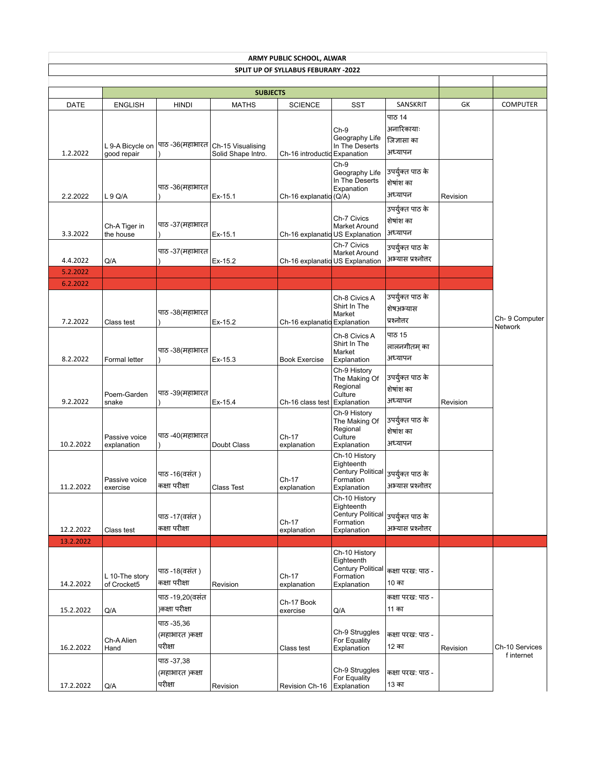|                      | ARMY PUBLIC SCHOOL, ALWAR<br>SPLIT UP OF SYLLABUS FEBURARY -2022 |                                          |                                                           |                                 |                                                                                     |                                                |          |                              |  |  |  |
|----------------------|------------------------------------------------------------------|------------------------------------------|-----------------------------------------------------------|---------------------------------|-------------------------------------------------------------------------------------|------------------------------------------------|----------|------------------------------|--|--|--|
|                      |                                                                  |                                          |                                                           |                                 |                                                                                     |                                                |          |                              |  |  |  |
|                      |                                                                  |                                          | <b>SUBJECTS</b>                                           |                                 |                                                                                     |                                                |          |                              |  |  |  |
| DATE                 | <b>ENGLISH</b>                                                   | HINDI                                    | <b>MATHS</b>                                              | <b>SCIENCE</b>                  | SST                                                                                 | SANSKRIT                                       | GK       | <b>COMPUTER</b>              |  |  |  |
| 1.2.2022             | L 9-A Bicycle on<br>good repair                                  |                                          | पाठ -36(महाभारत   Ch-15 Visualising<br>Solid Shape Intro. | Ch-16 introductid Expanation    | $Ch-9$<br>Geography Life<br>In The Deserts                                          | पाठ 14<br>अनारिकायाः<br>जिज्ञासा का<br>अध्यापन |          |                              |  |  |  |
| 2.2.2022             | L9Q/A                                                            | पाठ -36(महाभारत                          | Ex-15.1                                                   | Ch-16 explanatid (Q/A)          | $Ch-9$<br>Geography Life<br>In The Deserts<br>Expanation                            | उपर्युक्त पाठ के<br>शेषांश का<br>अध्यापन       | Revision |                              |  |  |  |
| 3.3.2022             | Ch-A Tiger in<br>the house                                       | पाठ -37(महाभारत                          | Ex-15.1                                                   | Ch-16 explanatid US Explanation | Ch-7 Civics<br>Market Around                                                        | उपर्युक्त पाठ के<br>शेषांश का<br>अध्यापन       |          |                              |  |  |  |
| 4.4.2022             | Q/A                                                              | पाठ -37(महाभारत                          | Ex-15.2                                                   |                                 | Ch-7 Civics<br>Market Around<br>Ch-16 explanatid US Explanation                     | उपर्युक्त पाठ के<br>अभ्यास प्रश्नोत्तर         |          |                              |  |  |  |
| 5.2.2022             |                                                                  |                                          |                                                           |                                 |                                                                                     |                                                |          |                              |  |  |  |
| 6.2.2022<br>7.2.2022 | Class test                                                       | पाठ -38(महाभारत                          | Ex-15.2                                                   | Ch-16 explanatid Explanation    | Ch-8 Civics A<br>Shirt In The<br>Market                                             | उपर्युक्त पाठ के<br>शेषअभ्यास<br>प्रश्नोत्तर   |          | Ch-9 Computer                |  |  |  |
| 8.2.2022             | Formal letter                                                    | पाठ -38(महाभारत                          | Ex-15.3                                                   | <b>Book Exercise</b>            | Ch-8 Civics A<br>Shirt In The<br>Market<br>Explanation                              | पाठ 15<br>लालनगीतम् का<br>अध्यापन              |          | <b>Network</b>               |  |  |  |
| 9.2.2022             | Poem-Garden<br>snake                                             | पाठ -39(महाभारत                          | Ex-15.4                                                   | Ch-16 class test Explanation    | Ch-9 History<br>The Making Of<br>Regional<br>Culture                                | उपर्युक्त पाठ के<br>शेषांश का<br>अध्यापन       | Revision |                              |  |  |  |
| 10.2.2022            | Passive voice<br>explanation                                     | पाठ -40(महाभारत                          | Doubt Class                                               | Ch-17<br>explanation            | Ch-9 History<br>The Making Of<br>Regional<br>Culture<br>Explanation                 | उपर्युक्त पाठ के<br>शेषांश का<br>अध्यापन       |          |                              |  |  |  |
| 11.2.2022            | Passive voice<br>exercise                                        | पाठ -16(वसंत)<br>कक्षा परीक्षा           | Class Test                                                | Ch-17<br>explanation            | Ch-10 History<br>Eighteenth<br><b>Century Political</b><br>Formation<br>Explanation | उपर्युक्त पाठ के<br>अभ्यास प्रश्नोत्तर         |          |                              |  |  |  |
| 12.2.2022            | Class test                                                       | पाठ -17(वसंत )<br>कक्षा परीक्षा          |                                                           | Ch-17<br>explanation            | Ch-10 History<br>Eighteenth<br><b>Century Political</b><br>Formation<br>Explanation | उपर्युक्त पाठ के<br>अभ्यास प्रश्नोत्तर         |          |                              |  |  |  |
| 13.2.2022            |                                                                  |                                          |                                                           |                                 | Ch-10 History                                                                       |                                                |          |                              |  |  |  |
| 14.2.2022            | L 10-The story<br>of Crocket5                                    | पाठ -18(वसंत )<br>कक्षा परीक्षा          | Revision                                                  | Ch-17<br>explanation            | Eighteenth<br><b>Century Political</b><br>Formation<br>Explanation                  | कक्षा परख: पाठ -<br>10 का                      |          |                              |  |  |  |
| 15.2.2022            | Q/A                                                              | पाठ -19,20(वसंत<br>)कक्षा परीक्षा        |                                                           | Ch-17 Book<br>exercise          | Q/A                                                                                 | कक्षा परख: पाठ -<br>11 का                      |          |                              |  |  |  |
| 16.2.2022            | Ch-A Alien<br>Hand                                               | पाठ -35,36<br>(महाभारत )कक्षा<br>परीक्षा |                                                           | Class test                      | Ch-9 Struggles<br>For Equality<br>Explanation                                       | कक्षा परख: पाठ -<br>12 का                      | Revision | Ch-10 Services<br>f internet |  |  |  |
| 17.2.2022            | Q/A                                                              | पाठ -37,38<br>(महाभारत )कक्षा<br>परीक्षा | Revision                                                  | Revision Ch-16                  | Ch-9 Struggles<br>For Equality<br>Explanation                                       | कक्षा परख: पाठ -<br>13 का                      |          |                              |  |  |  |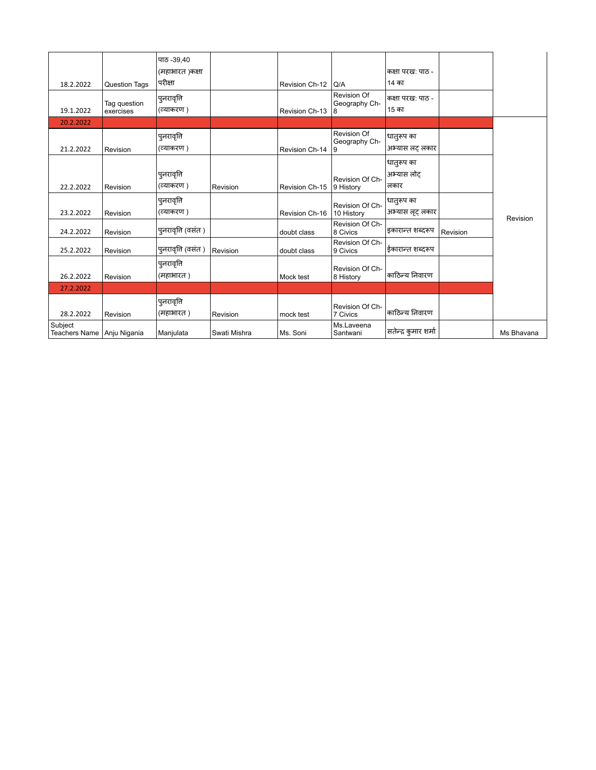|                                       |                      | पाठ -39.40         |              |                |                              |                      |          |            |
|---------------------------------------|----------------------|--------------------|--------------|----------------|------------------------------|----------------------|----------|------------|
|                                       |                      | (महाभारत )कक्षा    |              |                |                              | कक्षा परख: पाठ -     |          |            |
| 18.2.2022                             | <b>Question Tags</b> | परीक्षा            |              | Revision Ch-12 | Q/A                          | 14 का                |          |            |
|                                       | Tag question         | पुनरावृत्ति        |              |                | Revision Of<br>Geography Ch- | कक्षा परख: पाठ -     |          |            |
| 19.1.2022                             | exercises            | (व्याकरण)          |              | Revision Ch-13 | 8                            | 15 का                |          |            |
| 20.2.2022                             |                      |                    |              |                |                              |                      |          |            |
|                                       |                      | पुनरावृत्ति        |              |                | Revision Of<br>Geography Ch- | धातुरूप का           |          |            |
| 21.2.2022                             | Revision             | (व्याकरण )         |              | Revision Ch-14 | 9                            | अभ्यास लट लकार       |          |            |
|                                       |                      |                    |              |                |                              | धातुरूप का           |          |            |
|                                       |                      | पुनरावृत्ति        |              |                | Revision Of Ch-              | अभ्यास लोट           |          |            |
| 22.2.2022                             | Revision             | (व्याकरण)          | Revision     | Revision Ch-15 | 9 History                    | लकार                 |          |            |
|                                       |                      | पुनरावृत्ति        |              |                | Revision Of Ch-              | धातुरूप का           |          |            |
| 23.2.2022                             | Revision             | (व्याकरण)          |              | Revision Ch-16 | 10 History                   | अभ्यास लूट लकार      |          | Revision   |
| 24.2.2022                             | Revision             | पुनरावृति (वसंत )  |              | doubt class    | Revision Of Ch-<br>8 Civics  | इकारान्त शब्दरूप     | Revision |            |
|                                       |                      |                    |              |                | Revision Of Ch-              |                      |          |            |
| 25.2.2022                             | Revision             | पुनरावृत्ति (वसंत) | Revision     | doubt class    | 9 Civics                     | ईकारान्त शब्दरूप     |          |            |
|                                       |                      | पुनरावृत्ति        |              |                | Revision Of Ch-              |                      |          |            |
| 26.2.2022                             | Revision             | (महाभारत)          |              | Mock test      | 8 History                    | काठिन्य निवारण       |          |            |
| 27.2.2022                             |                      |                    |              |                |                              |                      |          |            |
|                                       |                      | पुनरावृत्ति        |              |                | Revision Of Ch-              |                      |          |            |
| 28.2.2022                             | Revision             | (महाभारत)          | Revision     | mock test      | 7 Civics                     | काठिन्य निवारण       |          |            |
| Subject<br>Teachers Name Anju Nigania |                      | Manjulata          | Swati Mishra | Ms. Soni       | Ms.Laveena<br>Santwani       | सतेन्द्र कुमार शर्मा |          | Ms Bhavana |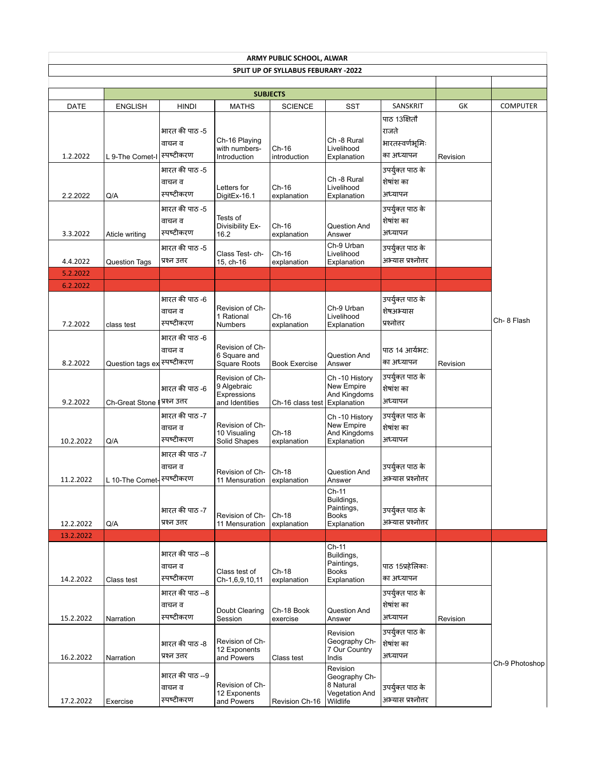| <b>ARMY PUBLIC SCHOOL, ALWAR</b> |                             |                                         |                                                                 |                                            |                                                                      |                                              |          |                 |  |  |
|----------------------------------|-----------------------------|-----------------------------------------|-----------------------------------------------------------------|--------------------------------------------|----------------------------------------------------------------------|----------------------------------------------|----------|-----------------|--|--|
|                                  |                             |                                         |                                                                 | <b>SPLIT UP OF SYLLABUS FEBURARY -2022</b> |                                                                      |                                              |          |                 |  |  |
|                                  |                             |                                         |                                                                 |                                            |                                                                      |                                              |          |                 |  |  |
| <b>DATE</b>                      | <b>ENGLISH</b>              | <b>HINDI</b>                            | <b>SUBJECTS</b><br><b>MATHS</b>                                 | <b>SCIENCE</b>                             | <b>SST</b>                                                           | SANSKRIT                                     | GK       | <b>COMPUTER</b> |  |  |
|                                  |                             | भारत की पाठ -5<br>वाचन व                | Ch-16 Playing<br>with numbers-                                  | $Ch-16$                                    | Ch -8 Rural<br>Livelihood                                            | पाठ 13क्षितौ<br>राजते<br>भारतस्वर्णभूमिः     |          |                 |  |  |
| 1.2.2022                         | L 9-The Comet-I             | स्पष्टीकरण                              | Introduction                                                    | introduction                               | Explanation                                                          | का अध्यापन                                   | Revision |                 |  |  |
| 2.2.2022                         | Q/A                         | भारत की पाठ -5<br>वाचन व<br>स्पष्टीकरण  | Letters for<br>DigitEx-16.1                                     | Ch-16<br>explanation                       | Ch -8 Rural<br>Livelihood<br>Explanation                             | उपर्युक्त पाठ के<br>शेषांश का<br>अध्यापन     |          |                 |  |  |
| 3.3.2022                         | Aticle writing              | भारत की पाठ -5<br>वाचन व<br>स्पष्टीकरण  | Tests of<br>Divisibility Ex-<br>16.2                            | Ch-16<br>explanation                       | Question And<br>Answer                                               | उपर्युक्त पाठ के<br>शेषांश का<br>अध्यापन     |          |                 |  |  |
|                                  |                             | भारत की पाठ -5                          | Class Test- ch-                                                 | Ch-16                                      | Ch-9 Urban<br>Livelihood                                             | उपर्युक्त पाठ के<br>अभ्यास प्रश्नोत्तर       |          |                 |  |  |
| 4.4.2022                         | <b>Question Tags</b>        | प्रश्न उत्तर                            | 15, ch-16                                                       | explanation                                | Explanation                                                          |                                              |          |                 |  |  |
| 5.2.2022<br>6.2.2022             |                             |                                         |                                                                 |                                            |                                                                      |                                              |          |                 |  |  |
| 7.2.2022                         | class test                  | भारत की पाठ -6<br>वाचन व<br>स्पष्टीकरण  | Revision of Ch-<br>1 Rational<br><b>Numbers</b>                 | $Ch-16$<br>explanation                     | Ch-9 Urban<br>Livelihood<br>Explanation                              | उपर्युक्त पाठ के<br>शेषअभ्यास<br>प्रश्नोत्तर |          | Ch-8 Flash      |  |  |
| 8.2.2022                         | Question tags ex स्पष्टीकरण | भारत की पाठ -6<br>वाचन व                | Revision of Ch-<br>6 Square and<br><b>Square Roots</b>          | <b>Book Exercise</b>                       | Question And<br>Answer                                               | पाठ 14 आर्यभट:<br>का अध्यापन                 | Revision |                 |  |  |
| 9.2.2022                         | <b>Ch-Great Stone</b>       | भारत की पाठ -6<br>प्रश्न उत्तर          | Revision of Ch-<br>9 Algebraic<br>Expressions<br>and Identities | Ch-16 class test                           | Ch-10 History<br>New Empire<br>And Kingdoms<br><b>Explanation</b>    | उपर्युक्त पाठ के<br>शेषांश का<br>अध्यापन     |          |                 |  |  |
| 10.2.2022                        | Q/A                         | भारत की पाठ -7<br>वाचन व<br>स्पष्टीकरण  | Revision of Ch-<br>10 Visualing<br>Solid Shapes                 | Ch-18<br>explanation                       | Ch-10 History<br>New Empire<br>And Kingdoms<br>Explanation           | उपर्युक्त पाठ के<br>शेषांश का<br>अध्यापन     |          |                 |  |  |
| 11.2.2022                        | L 10-The Comet-             | भारत की पाठ -7<br>वाचन व<br> स्पष्टीकरण | Revision of Ch-<br>11 Mensuration                               | Ch-18<br>explanation                       | Question And<br>Answer                                               | उपर्युक्त पाठ के<br>अभ्यास प्रश्नोत्तर       |          |                 |  |  |
| 12.2.2022                        | Q/A                         | भारत की पाठ -7<br>प्रश्न उत्तर          | Revision of Ch-<br>11 Mensuration                               | $Ch-18$<br>explanation                     | $Ch-11$<br>Buildings,<br>Paintings,<br><b>Books</b><br>Explanation   | उपर्युक्त पाठ के<br>अभ्यास प्रश्नोत्तर       |          |                 |  |  |
| 13.2.2022                        |                             |                                         |                                                                 |                                            |                                                                      |                                              |          |                 |  |  |
| 14.2.2022                        | Class test                  | भारत की पाठ --8<br>वाचन व<br>स्पष्टीकरण | Class test of<br>Ch-1,6,9,10,11                                 | Ch-18<br>explanation                       | Ch-11<br>Buildings,<br>Paintings,<br><b>Books</b><br>Explanation     | पाठ 15प्रहेलिकाः<br>का अध्यापन               |          |                 |  |  |
| 15.2.2022                        | Narration                   | भारत की पाठ --8<br>वाचन व<br>स्पष्टीकरण | Doubt Clearing<br>Session                                       | Ch-18 Book<br>exercise                     | Question And<br>Answer                                               | उपर्युक्त पाठ के<br>शेषांश का<br>अध्यापन     | Revision |                 |  |  |
| 16.2.2022                        | Narration                   | भारत की पाठ -8<br>प्रश्न उत्तर          | Revision of Ch-<br>12 Exponents<br>and Powers                   | Class test                                 | Revision<br>Geography Ch-<br>7 Our Country<br>Indis                  | उपर्युक्त पाठ के<br>शेषांश का<br>अध्यापन     |          | Ch-9 Photoshop  |  |  |
| 17.2.2022                        | Exercise                    | भारत की पाठ --9<br>वाचन व<br>स्पष्टीकरण | Revision of Ch-<br>12 Exponents<br>and Powers                   | Revision Ch-16                             | Revision<br>Geography Ch-<br>8 Natural<br>Vegetation And<br>Wildlife | उपर्युक्त पाठ के<br>अभ्यास प्रश्नोत्तर       |          |                 |  |  |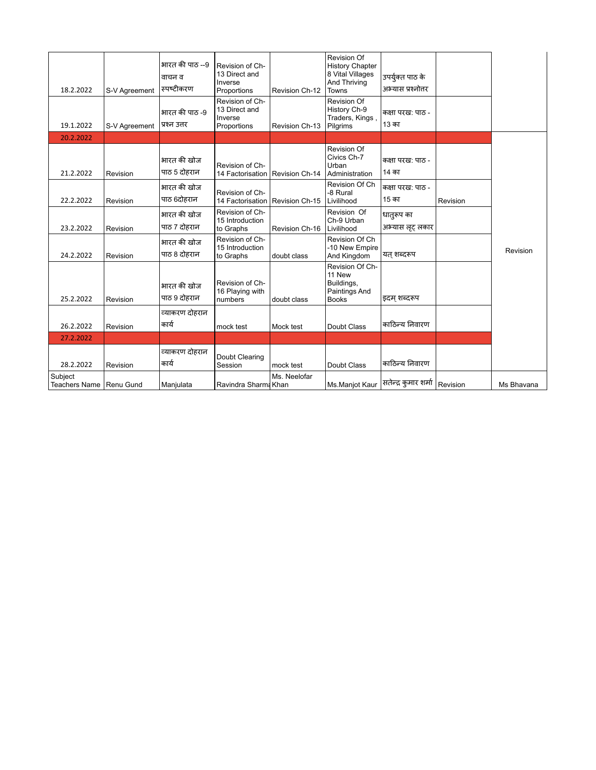| 18.2.2022                            | S-V Agreement | भारत की पाठ --9<br>वाचन व<br><b>स्पष्टीकर</b> ण | Revision of Ch-<br>13 Direct and<br>Inverse<br>Proportions | Revision Ch-12 | <b>Revision Of</b><br><b>History Chapter</b><br>8 Vital Villages<br>And Thriving<br>Towns | उपर्युक्त पाठ के<br>अभ्यास प्रश्नोत्तर |          |            |
|--------------------------------------|---------------|-------------------------------------------------|------------------------------------------------------------|----------------|-------------------------------------------------------------------------------------------|----------------------------------------|----------|------------|
| 19.1.2022                            | S-V Agreement | भारत की पाठ -9<br>प्रश्न उत्तर                  | Revision of Ch-<br>13 Direct and<br>Inverse<br>Proportions | Revision Ch-13 | Revision Of<br>History Ch-9<br>Traders, Kings,<br>Pilgrims                                | कक्षा परख: पाठ -<br>13 का              |          |            |
| 20.2.2022                            |               |                                                 |                                                            |                |                                                                                           |                                        |          |            |
| 21.2.2022                            | Revision      | भारत की खोज<br>पाठ 5 दोहरान                     | Revision of Ch-<br>14 Factorisation                        | Revision Ch-14 | <b>Revision Of</b><br>Civics Ch-7<br>Urban<br>Administration                              | कक्षा परख: पाठ -<br>14 का              |          |            |
| 22.2.2022                            | Revision      | भारत की खोज<br>पाठ 6दोहरान                      | Revision of Ch-<br>14 Factorisation                        | Revision Ch-15 | Revision Of Ch<br>-8 Rural<br>Livilihood                                                  | कक्षा परख: पाठ -<br>15 का              | Revision |            |
| 23.2.2022                            | Revision      | भारत की खोज<br>पाठ 7 दोहरान                     | Revision of Ch-<br>15 Introduction<br>to Graphs            | Revision Ch-16 | Revision Of<br>Ch-9 Urban<br>Livilihood                                                   | धातुरूप का<br>अभ्यास लूट लकार          |          |            |
| 24.2.2022                            | Revision      | भारत की खोज<br>पाठ 8 दोहरान                     | Revision of Ch-<br>15 Introduction<br>to Graphs            | doubt class    | Revision Of Ch<br>-10 New Empire<br>And Kingdom                                           | यत शब्दरूप                             |          | Revision   |
| 25.2.2022                            | Revision      | भारत की खोज<br>पाठ 9 दोहरान                     | Revision of Ch-<br>16 Playing with<br>numbers              | doubt class    | Revision Of Ch-<br>11 New<br>Buildings,<br>Paintings And<br><b>Books</b>                  | इदम शब्दरूप                            |          |            |
| 26.2.2022                            | Revision      | व्याकरण दोहरान<br>कार्य                         | mock test                                                  | Mock test      | Doubt Class                                                                               | काठिन्य निवारण                         |          |            |
| 27.2.2022                            |               |                                                 |                                                            |                |                                                                                           |                                        |          |            |
| 28.2.2022                            | Revision      | व्याकरण दोहरान<br>कार्य                         | Doubt Clearing<br>Session                                  | mock test      | Doubt Class                                                                               | काठिन्य निवारण                         |          |            |
| Subject<br>Teachers Name   Renu Gund |               | Manjulata                                       | Ravindra Sharma Khan                                       | Ms. Neelofar   | Ms.Manjot Kaur                                                                            | सतेन्द्र कुमार शर्मा Revision          |          | Ms Bhavana |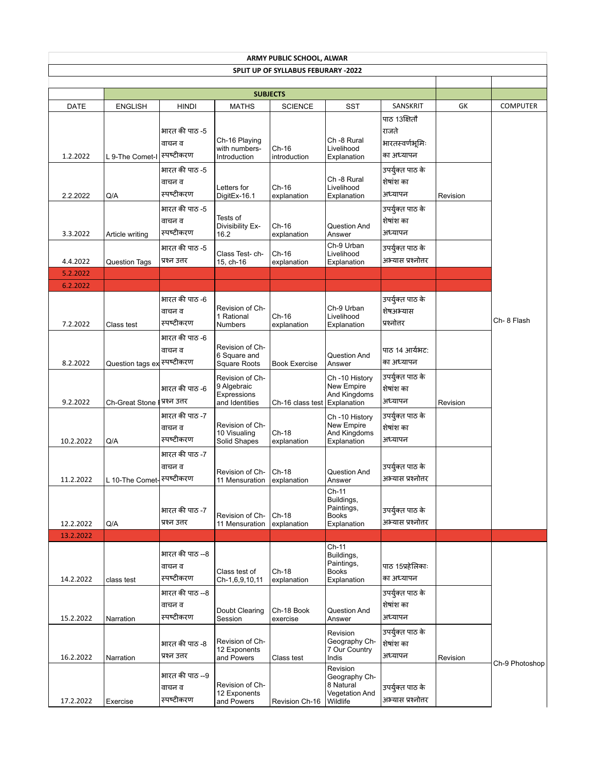| <b>ARMY PUBLIC SCHOOL, ALWAR</b> |                             |                                                          |                                                                 |                                     |                                                                      |                                                              |          |                 |  |  |
|----------------------------------|-----------------------------|----------------------------------------------------------|-----------------------------------------------------------------|-------------------------------------|----------------------------------------------------------------------|--------------------------------------------------------------|----------|-----------------|--|--|
|                                  |                             |                                                          |                                                                 | SPLIT UP OF SYLLABUS FEBURARY -2022 |                                                                      |                                                              |          |                 |  |  |
|                                  |                             |                                                          |                                                                 |                                     |                                                                      |                                                              |          |                 |  |  |
| <b>DATE</b>                      | <b>ENGLISH</b>              | <b>HINDI</b>                                             | <b>SUBJECTS</b><br><b>MATHS</b>                                 | <b>SCIENCE</b>                      | <b>SST</b>                                                           | SANSKRIT                                                     | GK       | <b>COMPUTER</b> |  |  |
| 1.2.2022                         | L 9-The Comet-I             | भारत की पाठ -5<br>वाचन व<br>स्पष्टीकरण                   | Ch-16 Playing<br>with numbers-<br>Introduction                  | $Ch-16$<br>introduction             | Ch -8 Rural<br>Livelihood<br>Explanation                             | पाठ 13क्षितौ<br>राजते<br>भारतस्वर्णभूमिः<br>का अध्यापन       |          |                 |  |  |
| 2.2.2022                         | Q/A                         | भारत की पाठ -5<br>वाचन व<br>स्पष्टीकरण<br>भारत की पाठ -5 | Letters for<br>DigitEx-16.1                                     | Ch-16<br>explanation                | Ch -8 Rural<br>Livelihood<br>Explanation                             | उपर्युक्त पाठ के<br>शेषांश का<br>अध्यापन<br>उपर्युक्त पाठ के | Revision |                 |  |  |
| 3.3.2022                         | Article writing             | वाचन व<br>स्पष्टीकरण                                     | Tests of<br>Divisibility Ex-<br>16.2                            | Ch-16<br>explanation                | Question And<br>Answer<br>Ch-9 Urban                                 | शेषांश का<br>अध्यापन                                         |          |                 |  |  |
| 4.4.2022                         | <b>Question Tags</b>        | भारत की पाठ -5<br>प्रश्न उत्तर                           | Class Test- ch-<br>15, ch-16                                    | Ch-16<br>explanation                | Livelihood<br>Explanation                                            | उपर्युक्त पाठ के<br>अभ्यास प्रश्नोत्तर                       |          |                 |  |  |
| 5.2.2022                         |                             |                                                          |                                                                 |                                     |                                                                      |                                                              |          |                 |  |  |
| 6.2.2022                         |                             |                                                          |                                                                 |                                     |                                                                      |                                                              |          |                 |  |  |
| 7.2.2022                         | Class test                  | भारत की पाठ -6<br>वाचन व<br>स्पष्टीकरण                   | Revision of Ch-<br>1 Rational<br><b>Numbers</b>                 | $Ch-16$<br>explanation              | Ch-9 Urban<br>Livelihood<br>Explanation                              | उपर्युक्त पाठ के<br>शेषअभ्यास<br>प्रश्नोत्तर                 |          | Ch-8 Flash      |  |  |
| 8.2.2022                         | Question tags ex स्पष्टीकरण | भारत की पाठ -6<br>वाचन व                                 | Revision of Ch-<br>6 Square and<br><b>Square Roots</b>          | <b>Book Exercise</b>                | Question And<br>Answer                                               | पाठ 14 आर्यभट:<br>का अध्यापन                                 |          |                 |  |  |
| 9.2.2022                         | <b>Ch-Great Stone</b>       | भारत की पाठ -6<br>प्रश्न उत्तर                           | Revision of Ch-<br>9 Algebraic<br>Expressions<br>and Identities | Ch-16 class test                    | Ch-10 History<br>New Empire<br>And Kingdoms<br><b>Explanation</b>    | उपर्युक्त पाठ के<br>शेषांश का<br>अध्यापन                     | Revision |                 |  |  |
| 10.2.2022                        | Q/A                         | भारत की पाठ -7<br>वाचन व<br>स्पष्टीकरण                   | Revision of Ch-<br>10 Visualing<br>Solid Shapes                 | Ch-18<br>explanation                | Ch-10 History<br>New Empire<br>And Kingdoms<br>Explanation           | उपर्युक्त पाठ के<br>शेषांश का<br>अध्यापन                     |          |                 |  |  |
| 11.2.2022                        | L 10-The Comet-             | भारत की पाठ -7<br>वाचन व<br> स्पष्टीकरण                  | Revision of Ch-<br>11 Mensuration                               | Ch-18<br>explanation                | Question And<br>Answer                                               | उपर्युक्त पाठ के<br>अभ्यास प्रश्नोत्तर                       |          |                 |  |  |
| 12.2.2022                        | Q/A                         | भारत की पाठ -7<br>प्रश्न उत्तर                           | Revision of Ch-<br>11 Mensuration                               | $Ch-18$<br>explanation              | $Ch-11$<br>Buildings,<br>Paintings,<br><b>Books</b><br>Explanation   | उपर्युक्त पाठ के<br>अभ्यास प्रश्नोत्तर                       |          |                 |  |  |
| 13.2.2022                        |                             |                                                          |                                                                 |                                     |                                                                      |                                                              |          |                 |  |  |
| 14.2.2022                        | class test                  | भारत की पाठ --8<br>वाचन व<br>स्पष्टीकरण                  | Class test of<br>Ch-1,6,9,10,11                                 | Ch-18<br>explanation                | Ch-11<br>Buildings,<br>Paintings,<br><b>Books</b><br>Explanation     | पाठ 15प्रहेलिकाः<br>का अध्यापन                               |          |                 |  |  |
| 15.2.2022                        | Narration                   | भारत की पाठ --8<br>वाचन व<br>स्पष्टीकरण                  | Doubt Clearing<br>Session                                       | Ch-18 Book<br>exercise              | Question And<br>Answer                                               | उपर्युक्त पाठ के<br>शेषांश का<br>अध्यापन                     |          |                 |  |  |
| 16.2.2022                        | Narration                   | भारत की पाठ -8<br>प्रश्न उत्तर                           | Revision of Ch-<br>12 Exponents<br>and Powers                   | Class test                          | Revision<br>Geography Ch-<br>7 Our Country<br>Indis                  | उपर्युक्त पाठ के<br>शेषांश का<br>अध्यापन                     | Revision | Ch-9 Photoshop  |  |  |
| 17.2.2022                        | Exercise                    | भारत की पाठ --9<br>वाचन व<br>स्पष्टीकरण                  | Revision of Ch-<br>12 Exponents<br>and Powers                   | Revision Ch-16                      | Revision<br>Geography Ch-<br>8 Natural<br>Vegetation And<br>Wildlife | उपर्युक्त पाठ के<br>अभ्यास प्रश्नोत्तर                       |          |                 |  |  |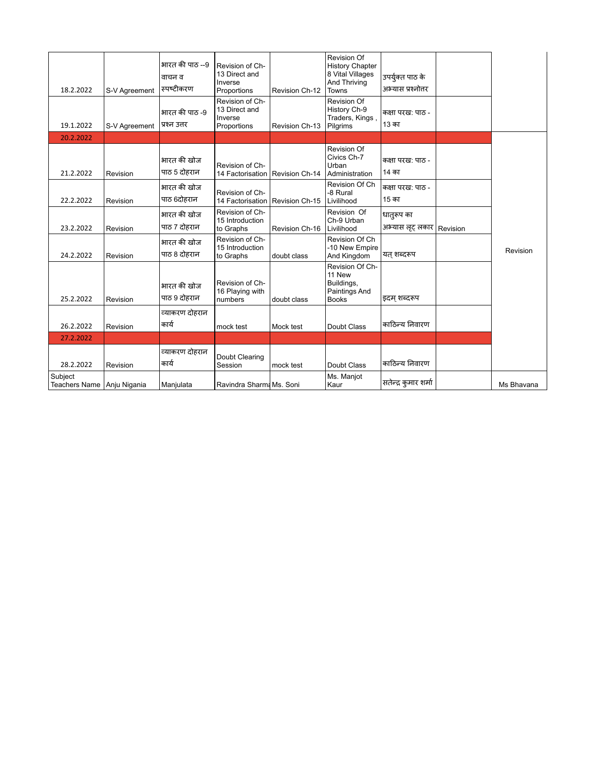| 18.2.2022                             | S-V Agreement | भारत की पाठ --9<br>वाचन व<br><sup>।</sup> स्पष्टीकरण | Revision of Ch-<br>13 Direct and<br>Inverse<br>Proportions | Revision Ch-12 | <b>Revision Of</b><br><b>History Chapter</b><br>8 Vital Villages<br>And Thriving<br>Towns | उपर्युक्त पाठ के<br>अभ्यास प्रश्नोत्तर    |            |
|---------------------------------------|---------------|------------------------------------------------------|------------------------------------------------------------|----------------|-------------------------------------------------------------------------------------------|-------------------------------------------|------------|
| 19.1.2022                             | S-V Agreement | भारत की पाठ -9<br>प्रश्न उत्तर                       | Revision of Ch-<br>13 Direct and<br>Inverse<br>Proportions | Revision Ch-13 | <b>Revision Of</b><br>History Ch-9<br>Traders, Kings<br>Pilgrims                          | कक्षा परख: पाठ -<br>13 का                 |            |
| 20.2.2022                             |               |                                                      |                                                            |                |                                                                                           |                                           |            |
| 21.2.2022                             | Revision      | भारत की खोज<br>पाठ 5 दोहरान                          | Revision of Ch-<br>14 Factorisation                        | Revision Ch-14 | Revision Of<br>Civics Ch-7<br>Urban<br>Administration                                     | कक्षा परख: पाठ -<br>14 का                 |            |
| 22.2.2022                             | Revision      | भारत की खोज<br>पाठ 6दोहरान                           | Revision of Ch-<br>14 Factorisation                        | Revision Ch-15 | Revision Of Ch<br>-8 Rural<br>Livilihood                                                  | कक्षा परख: पाठ -<br>15 का                 |            |
| 23.2.2022                             | Revision      | भारत की खोज<br>पाठ 7 दोहरान                          | Revision of Ch-<br>15 Introduction<br>to Graphs            | Revision Ch-16 | Revision Of<br>Ch-9 Urban<br>Livilihood                                                   | धातुरूप का<br>अभ्यास लूट् लकार   Revision |            |
| 24.2.2022                             | Revision      | भारत की खोज<br>पाठ 8 दोहरान                          | Revision of Ch-<br>15 Introduction<br>to Graphs            | doubt class    | Revision Of Ch<br>-10 New Empire<br>And Kingdom                                           | यत शब्दरूप                                | Revision   |
| 25.2.2022                             | Revision      | भारत की खोज<br>पाठ 9 दोहरान                          | Revision of Ch-<br>16 Playing with<br>numbers              | doubt class    | Revision Of Ch-<br>11 New<br>Buildings,<br>Paintings And<br><b>Books</b>                  | इदम् शब्दरूप                              |            |
| 26.2.2022                             | Revision      | व्याकरण दोहरान<br>कार्य                              | mock test                                                  | Mock test      | Doubt Class                                                                               | काठिन्य निवारण                            |            |
| 27.2.2022                             |               |                                                      |                                                            |                |                                                                                           |                                           |            |
| 28.2.2022                             | Revision      | व्याकरण दोहरान<br>कार्य                              | Doubt Clearing<br>Session                                  | mock test      | Doubt Class                                                                               | काठिन्य निवारण                            |            |
| Subject<br>Teachers Name Anju Nigania |               | Manjulata                                            | Ravindra Sharma Ms. Soni                                   |                | Ms. Manjot<br>Kaur                                                                        | सतेन्द्र कुमार शर्मा                      | Ms Bhavana |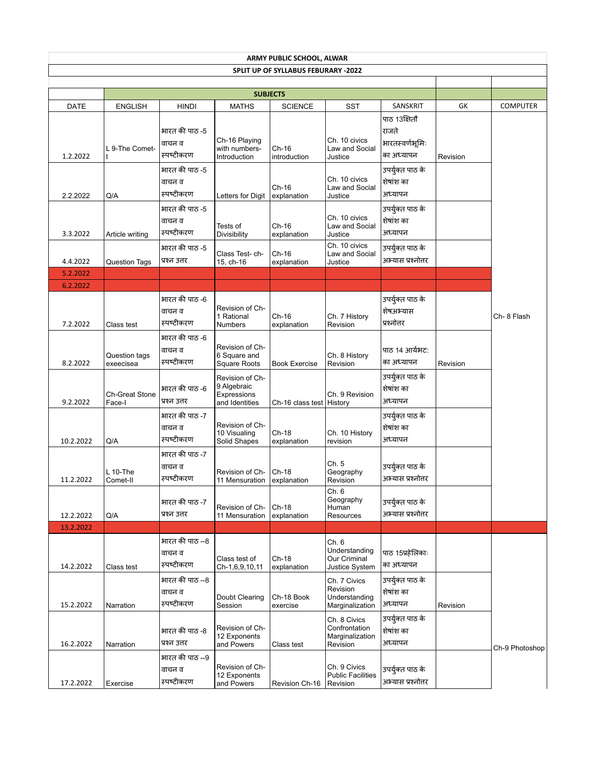| ARMY PUBLIC SCHOOL, ALWAR<br>SPLIT UP OF SYLLABUS FEBURARY -2022 |                                 |                                         |                                                                 |                            |                                                              |                                                        |          |                 |  |  |
|------------------------------------------------------------------|---------------------------------|-----------------------------------------|-----------------------------------------------------------------|----------------------------|--------------------------------------------------------------|--------------------------------------------------------|----------|-----------------|--|--|
|                                                                  |                                 |                                         |                                                                 |                            |                                                              |                                                        |          |                 |  |  |
|                                                                  |                                 |                                         |                                                                 | <b>SUBJECTS</b>            |                                                              |                                                        |          |                 |  |  |
| <b>DATE</b>                                                      | <b>ENGLISH</b>                  | <b>HINDI</b>                            | <b>MATHS</b>                                                    | <b>SCIENCE</b>             | <b>SST</b>                                                   | SANSKRIT                                               | GK       | <b>COMPUTER</b> |  |  |
| 1.2.2022                                                         | L 9-The Comet-                  | भारत की पाठ -5<br>वाचन व<br>स्पष्टीकरण  | Ch-16 Playing<br>with numbers-<br>Introduction                  | Ch-16<br>introduction      | Ch. 10 civics<br>Law and Social<br>Justice                   | पाठ 13क्षितौ<br>राजते<br>भारतस्वर्णभूमिः<br>का अध्यापन | Revision |                 |  |  |
| 2.2.2022                                                         | Q/A                             | भारत की पाठ -5<br>वाचन व<br>स्पष्टीकरण  | Letters for Digit                                               | Ch-16<br>explanation       | Ch. 10 civics<br>Law and Social<br>Justice                   | उपर्युक्त पाठ के<br>शेषांश का<br>अध्यापन               |          |                 |  |  |
| 3.3.2022                                                         | Article writing                 | भारत की पाठ -5<br>वाचन व<br>स्पष्टीकरण  | Tests of<br>Divisibility                                        | Ch-16<br>explanation       | Ch. 10 civics<br>Law and Social<br>Justice                   | उपर्युक्त पाठ के<br>शेषांश का<br>अध्यापन               |          |                 |  |  |
| 4.4.2022                                                         | <b>Question Tags</b>            | भारत की पाठ -5<br>प्रश्न उत्तर          | Class Test- ch-<br>15, ch-16                                    | Ch-16<br>explanation       | Ch. 10 civics<br>Law and Social<br>Justice                   | उपर्युक्त पाठ के<br>अभ्यास प्रश्नोत्तर                 |          |                 |  |  |
| 5.2.2022<br>6.2.2022                                             |                                 |                                         |                                                                 |                            |                                                              |                                                        |          |                 |  |  |
| 7.2.2022                                                         | Class test                      | भारत की पाठ -6<br>वाचन व<br>स्पष्टीकरण  | Revision of Ch-<br>1 Rational<br><b>Numbers</b>                 | $Ch-16$<br>explanation     | Ch. 7 History<br>Revision                                    | उपर्युक्त पाठ के<br>शेषअभ्यास<br>प्रश्नोत्तर           |          | Ch- 8 Flash     |  |  |
| 8.2.2022                                                         | Question tags<br>exeecisea      | भारत की पाठ -6<br>वाचन व<br>स्पष्टीकरण  | Revision of Ch-<br>6 Square and<br><b>Square Roots</b>          | <b>Book Exercise</b>       | Ch. 8 History<br>Revision                                    | पाठ 14 आर्यभट:<br>का अध्यापन                           | Revision |                 |  |  |
| 9.2.2022                                                         | <b>Ch-Great Stone</b><br>Face-I | भारत की पाठ -6<br>प्रश्न उत्तर          | Revision of Ch-<br>9 Algebraic<br>Expressions<br>and Identities | Ch-16 class test   History | Ch. 9 Revision                                               | उपर्युक्त पाठ के<br>शेषांश का<br>अध्यापन               |          |                 |  |  |
| 10.2.2022                                                        | Q/A                             | भारत की पाठ -7<br>वाचन व<br>स्पष्टीकरण  | Revision of Ch-<br>10 Visualing<br>Solid Shapes                 | Ch-18<br>explanation       | Ch. 10 History<br>revision                                   | उपर्युक्त पाठ के<br>शेषांश का<br>अध्यापन               |          |                 |  |  |
| 11.2.2022                                                        | $L$ 10-The<br>Comet-II          | भारत की पाठ -7<br>वाचन व<br>स्पष्टीकरण  | Revision of Ch-<br>11 Mensuration                               | $Ch-18$<br>explanation     | Ch. 5<br>Geography<br>Revision                               | उपर्युक्त पाठ के<br>अभ्यास प्रश्नोत्तर                 |          |                 |  |  |
| 12.2.2022                                                        | Q/A                             | भारत की पाठ -7<br>प्रश्न उत्तर          | Revision of Ch-<br>11 Mensuration                               | Ch-18<br>explanation       | Ch. 6<br>Geography<br>Human<br>Resources                     | उपर्युक्त पाठ के<br>अभ्यास प्रश्नोत्तर                 |          |                 |  |  |
| 13.2.2022                                                        |                                 |                                         |                                                                 |                            |                                                              |                                                        |          |                 |  |  |
| 14.2.2022                                                        | Class test                      | भारत की पाठ --8<br>वाचन व<br>स्पष्टीकरण | Class test of<br>Ch-1,6,9,10,11                                 | Ch-18<br>explanation       | Ch. 6<br>Understanding<br>Our Criminal<br>Justice System     | पाठ 15प्रहेलिकाः<br>का अध्यापन                         |          |                 |  |  |
| 15.2.2022                                                        | Narration                       | भारत की पाठ --8<br>वाचन व<br>स्पष्टीकरण | Doubt Clearing<br>Session                                       | Ch-18 Book<br>exercise     | Ch. 7 Civics<br>Revision<br>Understanding<br>Marginalization | उपर्युक्त पाठ के<br>शेषांश का<br>अध्यापन               | Revision |                 |  |  |
| 16.2.2022                                                        | Narration                       | भारत की पाठ -8<br>प्रश्न उत्तर          | Revision of Ch-<br>12 Exponents<br>and Powers                   | Class test                 | Ch. 8 Civics<br>Confrontation<br>Marginalization<br>Revision | उपर्युक्त पाठ के<br>शेषांश का<br>अध्यापन               |          | Ch-9 Photoshop  |  |  |
| 17.2.2022                                                        | Exercise                        | भारत की पाठ --9<br>वाचन व<br>स्पष्टीकरण | Revision of Ch-<br>12 Exponents<br>and Powers                   | Revision Ch-16             | Ch. 9 Civics<br><b>Public Facilities</b><br>Revision         | उपर्युक्त पाठ के<br>अभ्यास प्रश्नोत्तर                 |          |                 |  |  |